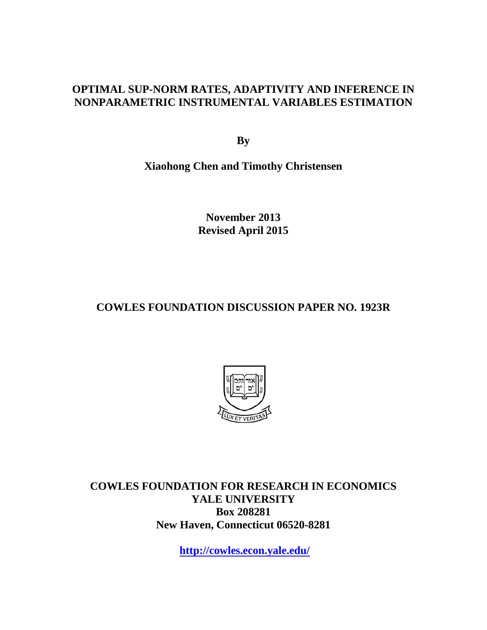## **OPTIMAL SUP-NORM RATES, ADAPTIVITY AND INFERENCE IN NONPARAMETRIC INSTRUMENTAL VARIABLES ESTIMATION**

**By**

**Xiaohong Chen and Timothy Christensen**

**November 2013 Revised April 2015**

# **COWLES FOUNDATION DISCUSSION PAPER NO. 1923R**



**COWLES FOUNDATION FOR RESEARCH IN ECONOMICS YALE UNIVERSITY Box 208281 New Haven, Connecticut 06520-8281**

**<http://cowles.econ.yale.edu/>**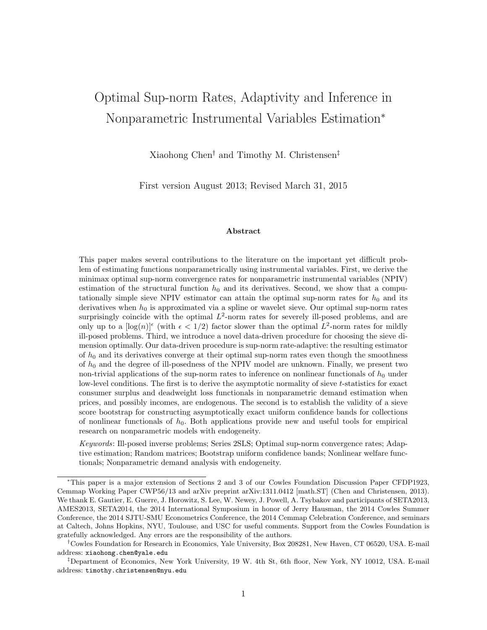# Optimal Sup-norm Rates, Adaptivity and Inference in Nonparametric Instrumental Variables Estimation<sup>∗</sup>

Xiaohong Chen† and Timothy M. Christensen‡

First version August 2013; Revised March 31, 2015

#### Abstract

This paper makes several contributions to the literature on the important yet difficult problem of estimating functions nonparametrically using instrumental variables. First, we derive the minimax optimal sup-norm convergence rates for nonparametric instrumental variables (NPIV) estimation of the structural function  $h_0$  and its derivatives. Second, we show that a computationally simple sieve NPIV estimator can attain the optimal sup-norm rates for  $h_0$  and its derivatives when  $h_0$  is approximated via a spline or wavelet sieve. Our optimal sup-norm rates surprisingly coincide with the optimal  $L^2$ -norm rates for severely ill-posed problems, and are only up to a  $[\log(n)]^{\epsilon}$  (with  $\epsilon < 1/2$ ) factor slower than the optimal  $L^2$ -norm rates for mildly ill-posed problems. Third, we introduce a novel data-driven procedure for choosing the sieve dimension optimally. Our data-driven procedure is sup-norm rate-adaptive: the resulting estimator of  $h_0$  and its derivatives converge at their optimal sup-norm rates even though the smoothness of  $h_0$  and the degree of ill-posedness of the NPIV model are unknown. Finally, we present two non-trivial applications of the sup-norm rates to inference on nonlinear functionals of  $h_0$  under low-level conditions. The first is to derive the asymptotic normality of sieve t-statistics for exact consumer surplus and deadweight loss functionals in nonparametric demand estimation when prices, and possibly incomes, are endogenous. The second is to establish the validity of a sieve score bootstrap for constructing asymptotically exact uniform confidence bands for collections of nonlinear functionals of  $h_0$ . Both applications provide new and useful tools for empirical research on nonparametric models with endogeneity.

Keywords: Ill-posed inverse problems; Series 2SLS; Optimal sup-norm convergence rates; Adaptive estimation; Random matrices; Bootstrap uniform confidence bands; Nonlinear welfare functionals; Nonparametric demand analysis with endogeneity.

<sup>∗</sup>This paper is a major extension of Sections 2 and 3 of our Cowles Foundation Discussion Paper CFDP1923, Cemmap Working Paper CWP56/13 and arXiv preprint arXiv:1311.0412 [math.ST] (Chen and Christensen, 2013). We thank E. Gautier, E. Guerre, J. Horowitz, S. Lee, W. Newey, J. Powell, A. Tsybakov and participants of SETA2013, AMES2013, SETA2014, the 2014 International Symposium in honor of Jerry Hausman, the 2014 Cowles Summer Conference, the 2014 SJTU-SMU Econometrics Conference, the 2014 Cemmap Celebration Conference, and seminars at Caltech, Johns Hopkins, NYU, Toulouse, and USC for useful comments. Support from the Cowles Foundation is gratefully acknowledged. Any errors are the responsibility of the authors.

<sup>†</sup>Cowles Foundation for Research in Economics, Yale University, Box 208281, New Haven, CT 06520, USA. E-mail address: xiaohong.chen@yale.edu

<sup>‡</sup>Department of Economics, New York University, 19 W. 4th St, 6th floor, New York, NY 10012, USA. E-mail address: timothy.christensen@nyu.edu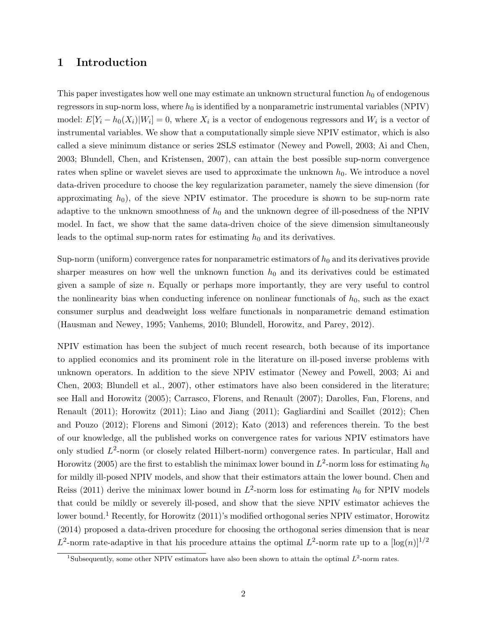### 1 Introduction

This paper investigates how well one may estimate an unknown structural function  $h_0$  of endogenous regressors in sup-norm loss, where  $h_0$  is identified by a nonparametric instrumental variables (NPIV) model:  $E[Y_i - h_0(X_i)|W_i] = 0$ , where  $X_i$  is a vector of endogenous regressors and  $W_i$  is a vector of instrumental variables. We show that a computationally simple sieve NPIV estimator, which is also called a sieve minimum distance or series 2SLS estimator (Newey and Powell, 2003; Ai and Chen, 2003; Blundell, Chen, and Kristensen, 2007), can attain the best possible sup-norm convergence rates when spline or wavelet sieves are used to approximate the unknown  $h_0$ . We introduce a novel data-driven procedure to choose the key regularization parameter, namely the sieve dimension (for approximating  $h_0$ , of the sieve NPIV estimator. The procedure is shown to be sup-norm rate adaptive to the unknown smoothness of  $h_0$  and the unknown degree of ill-posedness of the NPIV model. In fact, we show that the same data-driven choice of the sieve dimension simultaneously leads to the optimal sup-norm rates for estimating  $h_0$  and its derivatives.

Sup-norm (uniform) convergence rates for nonparametric estimators of  $h_0$  and its derivatives provide sharper measures on how well the unknown function  $h_0$  and its derivatives could be estimated given a sample of size  $n$ . Equally or perhaps more importantly, they are very useful to control the nonlinearity bias when conducting inference on nonlinear functionals of  $h_0$ , such as the exact consumer surplus and deadweight loss welfare functionals in nonparametric demand estimation (Hausman and Newey, 1995; Vanhems, 2010; Blundell, Horowitz, and Parey, 2012).

NPIV estimation has been the subject of much recent research, both because of its importance to applied economics and its prominent role in the literature on ill-posed inverse problems with unknown operators. In addition to the sieve NPIV estimator (Newey and Powell, 2003; Ai and Chen, 2003; Blundell et al., 2007), other estimators have also been considered in the literature; see Hall and Horowitz (2005); Carrasco, Florens, and Renault (2007); Darolles, Fan, Florens, and Renault (2011); Horowitz (2011); Liao and Jiang (2011); Gagliardini and Scaillet (2012); Chen and Pouzo (2012); Florens and Simoni (2012); Kato (2013) and references therein. To the best of our knowledge, all the published works on convergence rates for various NPIV estimators have only studied  $L^2$ -norm (or closely related Hilbert-norm) convergence rates. In particular, Hall and Horowitz (2005) are the first to establish the minimax lower bound in  $L^2$ -norm loss for estimating  $h_0$ for mildly ill-posed NPIV models, and show that their estimators attain the lower bound. Chen and Reiss (2011) derive the minimax lower bound in  $L^2$ -norm loss for estimating  $h_0$  for NPIV models that could be mildly or severely ill-posed, and show that the sieve NPIV estimator achieves the lower bound.<sup>1</sup> Recently, for Horowitz (2011)'s modified orthogonal series NPIV estimator, Horowitz (2014) proposed a data-driven procedure for choosing the orthogonal series dimension that is near  $L^2$ -norm rate-adaptive in that his procedure attains the optimal  $L^2$ -norm rate up to a  $\lceil \log(n) \rceil^{1/2}$ 

<sup>&</sup>lt;sup>1</sup>Subsequently, some other NPIV estimators have also been shown to attain the optimal  $L^2$ -norm rates.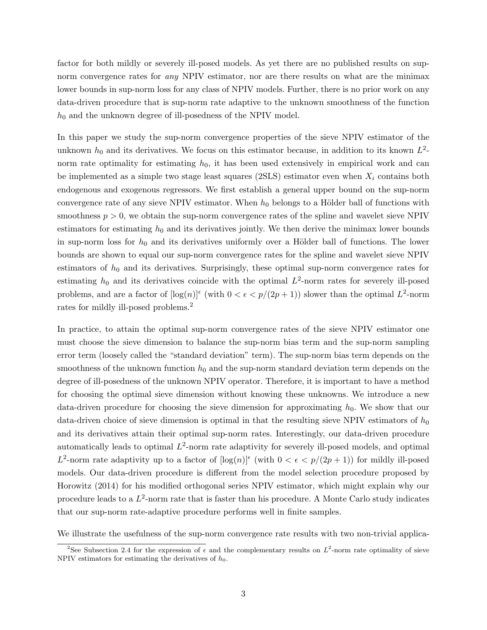factor for both mildly or severely ill-posed models. As yet there are no published results on supnorm convergence rates for *any* NPIV estimator, nor are there results on what are the minimax lower bounds in sup-norm loss for any class of NPIV models. Further, there is no prior work on any data-driven procedure that is sup-norm rate adaptive to the unknown smoothness of the function  $h_0$  and the unknown degree of ill-posedness of the NPIV model.

In this paper we study the sup-norm convergence properties of the sieve NPIV estimator of the unknown  $h_0$  and its derivatives. We focus on this estimator because, in addition to its known  $L^2$ norm rate optimality for estimating  $h_0$ , it has been used extensively in empirical work and can be implemented as a simple two stage least squares (2SLS) estimator even when  $X_i$  contains both endogenous and exogenous regressors. We first establish a general upper bound on the sup-norm convergence rate of any sieve NPIV estimator. When  $h_0$  belongs to a Hölder ball of functions with smoothness  $p > 0$ , we obtain the sup-norm convergence rates of the spline and wavelet sieve NPIV estimators for estimating  $h_0$  and its derivatives jointly. We then derive the minimax lower bounds in sup-norm loss for  $h_0$  and its derivatives uniformly over a Hölder ball of functions. The lower bounds are shown to equal our sup-norm convergence rates for the spline and wavelet sieve NPIV estimators of  $h_0$  and its derivatives. Surprisingly, these optimal sup-norm convergence rates for estimating  $h_0$  and its derivatives coincide with the optimal  $L^2$ -norm rates for severely ill-posed problems, and are a factor of  $\lceil \log(n) \rceil^{\epsilon}$  (with  $0 < \epsilon < p/(2p+1)$ ) slower than the optimal  $L^2$ -norm rates for mildly ill-posed problems.<sup>2</sup>

In practice, to attain the optimal sup-norm convergence rates of the sieve NPIV estimator one must choose the sieve dimension to balance the sup-norm bias term and the sup-norm sampling error term (loosely called the "standard deviation" term). The sup-norm bias term depends on the smoothness of the unknown function  $h_0$  and the sup-norm standard deviation term depends on the degree of ill-posedness of the unknown NPIV operator. Therefore, it is important to have a method for choosing the optimal sieve dimension without knowing these unknowns. We introduce a new data-driven procedure for choosing the sieve dimension for approximating  $h_0$ . We show that our data-driven choice of sieve dimension is optimal in that the resulting sieve NPIV estimators of  $h_0$ and its derivatives attain their optimal sup-norm rates. Interestingly, our data-driven procedure automatically leads to optimal  $L^2$ -norm rate adaptivity for severely ill-posed models, and optimal  $L^2$ -norm rate adaptivity up to a factor of  $\lceil \log(n) \rceil^{\epsilon}$  (with  $0 < \epsilon < p/(2p+1)$ ) for mildly ill-posed models. Our data-driven procedure is different from the model selection procedure proposed by Horowitz (2014) for his modified orthogonal series NPIV estimator, which might explain why our procedure leads to a  $L^2$ -norm rate that is faster than his procedure. A Monte Carlo study indicates that our sup-norm rate-adaptive procedure performs well in finite samples.

We illustrate the usefulness of the sup-norm convergence rate results with two non-trivial applica-

<sup>&</sup>lt;sup>2</sup>See Subsection 2.4 for the expression of  $\epsilon$  and the complementary results on  $L^2$ -norm rate optimality of sieve NPIV estimators for estimating the derivatives of  $h_0$ .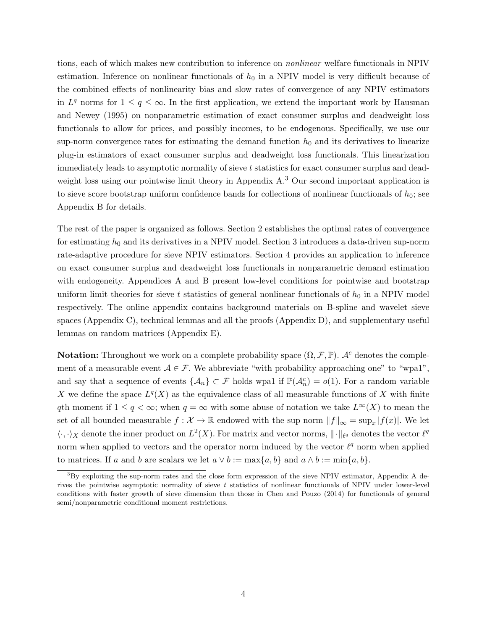tions, each of which makes new contribution to inference on nonlinear welfare functionals in NPIV estimation. Inference on nonlinear functionals of  $h_0$  in a NPIV model is very difficult because of the combined effects of nonlinearity bias and slow rates of convergence of any NPIV estimators in  $L^q$  norms for  $1 \leq q \leq \infty$ . In the first application, we extend the important work by Hausman and Newey (1995) on nonparametric estimation of exact consumer surplus and deadweight loss functionals to allow for prices, and possibly incomes, to be endogenous. Specifically, we use our sup-norm convergence rates for estimating the demand function  $h_0$  and its derivatives to linearize plug-in estimators of exact consumer surplus and deadweight loss functionals. This linearization immediately leads to asymptotic normality of sieve t statistics for exact consumer surplus and deadweight loss using our pointwise limit theory in Appendix A.<sup>3</sup> Our second important application is to sieve score bootstrap uniform confidence bands for collections of nonlinear functionals of  $h_0$ ; see Appendix B for details.

The rest of the paper is organized as follows. Section 2 establishes the optimal rates of convergence for estimating  $h_0$  and its derivatives in a NPIV model. Section 3 introduces a data-driven sup-norm rate-adaptive procedure for sieve NPIV estimators. Section 4 provides an application to inference on exact consumer surplus and deadweight loss functionals in nonparametric demand estimation with endogeneity. Appendices A and B present low-level conditions for pointwise and bootstrap uniform limit theories for sieve t statistics of general nonlinear functionals of  $h_0$  in a NPIV model respectively. The online appendix contains background materials on B-spline and wavelet sieve spaces (Appendix C), technical lemmas and all the proofs (Appendix D), and supplementary useful lemmas on random matrices (Appendix E).

**Notation:** Throughout we work on a complete probability space  $(\Omega, \mathcal{F}, \mathbb{P})$ . A<sup>c</sup> denotes the complement of a measurable event  $A \in \mathcal{F}$ . We abbreviate "with probability approaching one" to "wpa1", and say that a sequence of events  $\{\mathcal{A}_n\} \subset \mathcal{F}$  holds wpa1 if  $\mathbb{P}(\mathcal{A}_n^c) = o(1)$ . For a random variable X we define the space  $L^q(X)$  as the equivalence class of all measurable functions of X with finite qth moment if  $1 \leq q < \infty$ ; when  $q = \infty$  with some abuse of notation we take  $L^{\infty}(X)$  to mean the set of all bounded measurable  $f: \mathcal{X} \to \mathbb{R}$  endowed with the sup norm  $||f||_{\infty} = \sup_x |f(x)|$ . We let  $\langle \cdot, \cdot \rangle_X$  denote the inner product on  $L^2(X)$ . For matrix and vector norms,  $\|\cdot\|_{\ell^q}$  denotes the vector  $\ell^q$ norm when applied to vectors and the operator norm induced by the vector  $\ell^q$  norm when applied to matrices. If a and b are scalars we let  $a \vee b := \max\{a, b\}$  and  $a \wedge b := \min\{a, b\}.$ 

 ${}^{3}$ By exploiting the sup-norm rates and the close form expression of the sieve NPIV estimator, Appendix A derives the pointwise asymptotic normality of sieve  $t$  statistics of nonlinear functionals of NPIV under lower-level conditions with faster growth of sieve dimension than those in Chen and Pouzo (2014) for functionals of general semi/nonparametric conditional moment restrictions.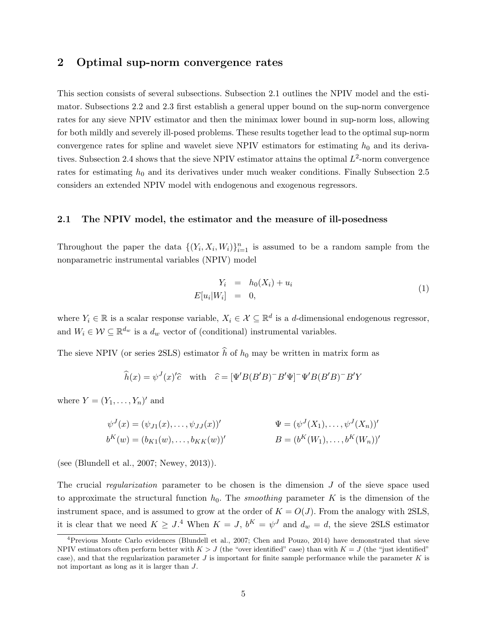### 2 Optimal sup-norm convergence rates

This section consists of several subsections. Subsection 2.1 outlines the NPIV model and the estimator. Subsections 2.2 and 2.3 first establish a general upper bound on the sup-norm convergence rates for any sieve NPIV estimator and then the minimax lower bound in sup-norm loss, allowing for both mildly and severely ill-posed problems. These results together lead to the optimal sup-norm convergence rates for spline and wavelet sieve NPIV estimators for estimating  $h_0$  and its derivatives. Subsection 2.4 shows that the sieve NPIV estimator attains the optimal  $L^2$ -norm convergence rates for estimating  $h_0$  and its derivatives under much weaker conditions. Finally Subsection 2.5 considers an extended NPIV model with endogenous and exogenous regressors.

### 2.1 The NPIV model, the estimator and the measure of ill-posedness

Throughout the paper the data  $\{(Y_i, X_i, W_i)\}_{i=1}^n$  is assumed to be a random sample from the nonparametric instrumental variables (NPIV) model

$$
Y_i = h_0(X_i) + u_i
$$
  
\n
$$
E[u_i|W_i] = 0,
$$
\n(1)

where  $Y_i \in \mathbb{R}$  is a scalar response variable,  $X_i \in \mathcal{X} \subseteq \mathbb{R}^d$  is a d-dimensional endogenous regressor, and  $W_i \in \mathcal{W} \subseteq \mathbb{R}^{d_w}$  is a  $d_w$  vector of (conditional) instrumental variables.

The sieve NPIV (or series 2SLS) estimator  $\hat{h}$  of  $h_0$  may be written in matrix form as

$$
\widehat{h}(x) = \psi^{J}(x)^{\prime}\widehat{c} \quad \text{with} \quad \widehat{c} = [\Psi^{'}B(B^{\prime}B)^{-}B^{\prime}\Psi]^{-}\Psi^{'}B(B^{\prime}B)^{-}B^{\prime}Y
$$

where  $Y = (Y_1, \ldots, Y_n)'$  and

$$
\psi^{J}(x) = (\psi_{J1}(x), \dots, \psi_{JJ}(x))'
$$
  
\n
$$
\Psi = (\psi^{J}(X_{1}), \dots, \psi^{J}(X_{n}))'
$$
  
\n
$$
b^{K}(w) = (b_{K1}(w), \dots, b_{KK}(w))'
$$
  
\n
$$
B = (b^{K}(W_{1}), \dots, b^{K}(W_{n}))'
$$

(see (Blundell et al., 2007; Newey, 2013)).

The crucial regularization parameter to be chosen is the dimension  $J$  of the sieve space used to approximate the structural function  $h_0$ . The *smoothing* parameter K is the dimension of the instrument space, and is assumed to grow at the order of  $K = O(J)$ . From the analogy with 2SLS, it is clear that we need  $K \geq J$ .<sup>4</sup> When  $K = J$ ,  $b^K = \psi^J$  and  $d_w = d$ , the sieve 2SLS estimator

<sup>4</sup>Previous Monte Carlo evidences (Blundell et al., 2007; Chen and Pouzo, 2014) have demonstrated that sieve NPIV estimators often perform better with  $K > J$  (the "over identified" case) than with  $K = J$  (the "just identified" case), and that the regularization parameter  $J$  is important for finite sample performance while the parameter  $K$  is not important as long as it is larger than J.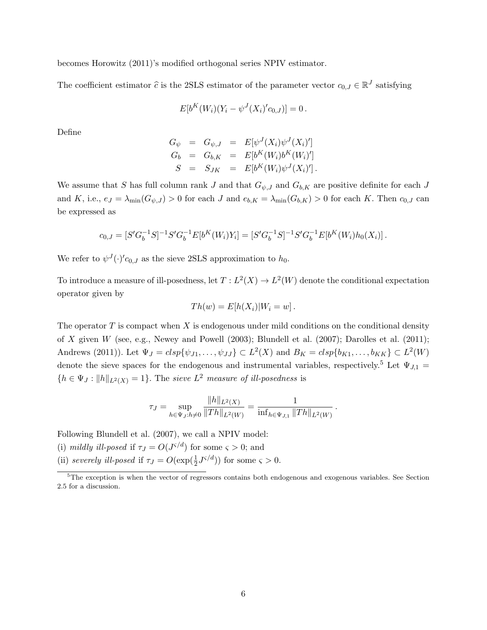becomes Horowitz (2011)'s modified orthogonal series NPIV estimator.

The coefficient estimator  $\hat{c}$  is the 2SLS estimator of the parameter vector  $c_{0,J} \in \mathbb{R}^J$  satisfying

$$
E[b^{K}(W_{i})(Y_{i}-\psi^{J}(X_{i})'c_{0,J})]=0.
$$

Define

$$
G_{\psi} = G_{\psi,J} = E[\psi^{J}(X_{i})\psi^{J}(X_{i})'] G_{b} = G_{b,K} = E[b^{K}(W_{i})b^{K}(W_{i})'] S = S_{JK} = E[b^{K}(W_{i})\psi^{J}(X_{i})'] .
$$

We assume that S has full column rank J and that  $G_{\psi,J}$  and  $G_{b,K}$  are positive definite for each J and K, i.e.,  $e_J = \lambda_{\min}(G_{\psi,J}) > 0$  for each J and  $e_{b,K} = \lambda_{\min}(G_{b,K}) > 0$  for each K. Then  $c_{0,J}$  can be expressed as

$$
c_{0,J} = [S'G_b^{-1}S]^{-1}S'G_b^{-1}E[b^K(W_i)Y_i] = [S'G_b^{-1}S]^{-1}S'G_b^{-1}E[b^K(W_i)h_0(X_i)].
$$

We refer to  $\psi^J(\cdot)'c_{0,J}$  as the sieve 2SLS approximation to  $h_0$ .

To introduce a measure of ill-posedness, let  $T: L^2(X) \to L^2(W)$  denote the conditional expectation operator given by

$$
Th(w) = E[h(X_i)|W_i = w].
$$

The operator  $T$  is compact when  $X$  is endogenous under mild conditions on the conditional density of X given W (see, e.g., Newey and Powell (2003); Blundell et al. (2007); Darolles et al. (2011); Andrews (2011)). Let  $\Psi_J = c lsp{\psi_{J1}, \dots, \psi_{JJ}} \subset L^2(X)$  and  $B_K = c lsp{\psi_{K1}, \dots, \psi_{KK}} \subset L^2(W)$ denote the sieve spaces for the endogenous and instrumental variables, respectively.<sup>5</sup> Let  $\Psi_{J,1}$  =  ${h \in \Psi_J : ||h||_{L^2(X)} = 1}.$  The sieve  $L^2$  measure of ill-posedness is

$$
\tau_J = \sup_{h \in \Psi_J: h \neq 0} \frac{\|h\|_{L^2(X)}}{\|Th\|_{L^2(W)}} = \frac{1}{\inf_{h \in \Psi_{J,1}} \|Th\|_{L^2(W)}}.
$$

Following Blundell et al. (2007), we call a NPIV model:

- (i) mildly ill-posed if  $\tau_J = O(J^{\varsigma/d})$  for some  $\varsigma > 0$ ; and
- (ii) severely ill-posed if  $\tau_J = O(\exp(\frac{1}{2}J^{\varsigma/d}))$  for some  $\varsigma > 0$ .

<sup>&</sup>lt;sup>5</sup>The exception is when the vector of regressors contains both endogenous and exogenous variables. See Section 2.5 for a discussion.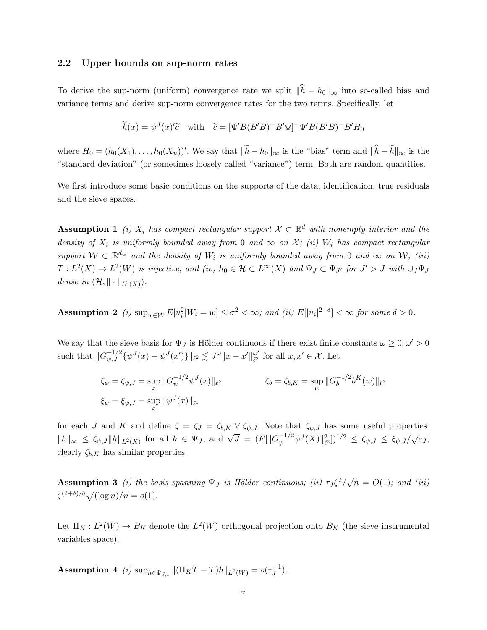#### 2.2 Upper bounds on sup-norm rates

To derive the sup-norm (uniform) convergence rate we split  $\|\hat{h} - h_0\|_{\infty}$  into so-called bias and variance terms and derive sup-norm convergence rates for the two terms. Specifically, let

$$
\widetilde{h}(x) = \psi^{J}(x)'\widetilde{c} \quad \text{with} \quad \widetilde{c} = [\Psi^{'}B(B'B)^{-}B'\Psi]^{-}\Psi^{'}B(B'B)^{-}B'H_{0}
$$

where  $H_0 = (h_0(X_1), \ldots, h_0(X_n))'$ . We say that  $\|\tilde{h} - h_0\|_{\infty}$  is the "bias" term and  $\|\tilde{h} - \tilde{h}\|_{\infty}$  is the "standard deviation" (or sometimes loosely called "variance") term. Both are random quantities.

We first introduce some basic conditions on the supports of the data, identification, true residuals and the sieve spaces.

**Assumption 1** (i)  $X_i$  has compact rectangular support  $\mathcal{X} \subset \mathbb{R}^d$  with nonempty interior and the density of  $X_i$  is uniformly bounded away from 0 and  $\infty$  on X; (ii)  $W_i$  has compact rectangular support  $W \subset \mathbb{R}^{d_w}$  and the density of  $W_i$  is uniformly bounded away from 0 and  $\infty$  on W; (iii)  $T: L^2(X) \to L^2(W)$  is injective; and (iv)  $h_0 \in \mathcal{H} \subset L^{\infty}(X)$  and  $\Psi_J \subset \Psi_{J'}$  for  $J' > J$  with  $\cup_J \Psi_J$ dense in  $(\mathcal{H}, \|\cdot\|_{L^2(X)})$ .

Assumption 2 (i)  $\sup_{w \in \mathcal{W}} E[u_i^2|W_i = w] \leq \overline{\sigma}^2 < \infty$ ; and (ii)  $E[|u_i|^{2+\delta}] < \infty$  for some  $\delta > 0$ .

We say that the sieve basis for  $\Psi_J$  is Hölder continuous if there exist finite constants  $\omega \geq 0, \omega' > 0$ such that  $||G_{\psi,J}^{-1/2}\{\psi^J(x) - \psi^J(x')\}||_{\ell^2} \lesssim J^{\omega} ||x - x'||_{\ell^2}^{\omega'}$  $_{\ell^2}^{\omega'}$  for all  $x, x' \in \mathcal{X}$ . Let

$$
\zeta_{\psi} = \zeta_{\psi,J} = \sup_{x} ||G_{\psi}^{-1/2} \psi^{J}(x)||_{\ell^{2}}
$$
  

$$
\zeta_{b} = \zeta_{b,K} = \sup_{w} ||G_{b}^{-1/2} b^{K}(w)||_{\ell^{2}}
$$
  

$$
\zeta_{\psi} = \xi_{\psi,J} = \sup_{x} ||\psi^{J}(x)||_{\ell^{1}}
$$

for each J and K and define  $\zeta = \zeta_J = \zeta_{b,K} \vee \zeta_{\psi,J}$ . Note that  $\zeta_{\psi,J}$  has some useful properties:  $||h||_{\infty} \leq \zeta_{\psi,J} ||h||_{L^2(X)}$  for all  $h \in \Psi_J$ , and  $\sqrt{J} = (E[||G_{\psi}^{-1/2} \psi^J(X)||_{\ell^2}^2])^{1/2} \leq \zeta_{\psi,J} \leq \xi_{\psi,J}/\sqrt{e_J}$ ; clearly  $\zeta_{b,K}$  has similar properties.

**Assumption 3** (i) the basis spanning  $\Psi_J$  is Hölder continuous; (ii)  $\tau_J \zeta^2/\sqrt{n} = O(1)$ ; and (iii)  $\zeta^{(2+\delta)/\delta}\sqrt{(\log n)/n} = o(1).$ 

Let  $\Pi_K: L^2(W) \to B_K$  denote the  $L^2(W)$  orthogonal projection onto  $B_K$  (the sieve instrumental variables space).

**Assumption 4** (*i*)  $\sup_{h \in \Psi_{J,1}} ||(\Pi_K T - T)h||_{L^2(W)} = o(\tau_J^{-1})$  $\left( \frac{-1}{J}\right)$ .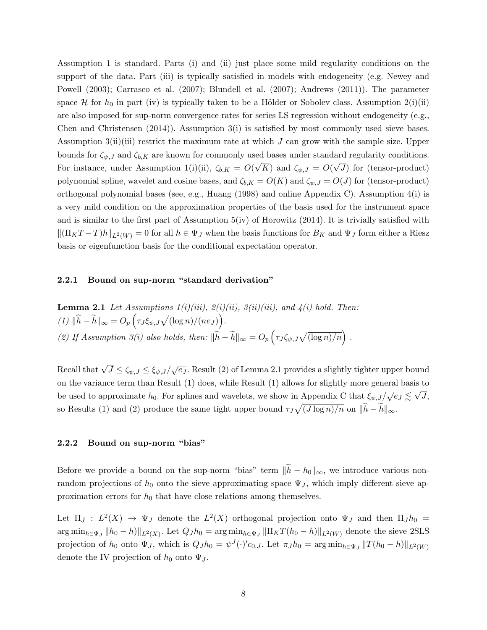Assumption 1 is standard. Parts (i) and (ii) just place some mild regularity conditions on the support of the data. Part (iii) is typically satisfied in models with endogeneity (e.g. Newey and Powell (2003); Carrasco et al. (2007); Blundell et al. (2007); Andrews (2011)). The parameter space  $\mathcal H$  for  $h_0$  in part (iv) is typically taken to be a Hölder or Sobolev class. Assumption 2(i)(ii) are also imposed for sup-norm convergence rates for series LS regression without endogeneity (e.g., Chen and Christensen  $(2014)$ ). Assumption  $3(i)$  is satisfied by most commonly used sieve bases. Assumption 3(ii)(iii) restrict the maximum rate at which  $J$  can grow with the sample size. Upper bounds for  $\zeta_{\psi,J}$  and  $\zeta_{b,K}$  are known for commonly used bases under standard regularity conditions. For instance, under Assumption 1(i)(ii),  $\zeta_{b,K} = O(\sqrt{K})$  and  $\zeta_{\psi,J} = O(\sqrt{J})$  for (tensor-product) polynomial spline, wavelet and cosine bases, and  $\zeta_{b,K} = O(K)$  and  $\zeta_{\psi,J} = O(J)$  for (tensor-product) orthogonal polynomial bases (see, e.g., Huang (1998) and online Appendix C). Assumption 4(i) is a very mild condition on the approximation properties of the basis used for the instrument space and is similar to the first part of Assumption 5(iv) of Horowitz (2014). It is trivially satisfied with  $\|(\Pi_K T - T)h\|_{L^2(W)} = 0$  for all  $h \in \Psi_J$  when the basis functions for  $B_K$  and  $\Psi_J$  form either a Riesz basis or eigenfunction basis for the conditional expectation operator.

### 2.2.1 Bound on sup-norm "standard derivation"

**Lemma 2.1** Let Assumptions 
$$
1(i)(iii), 2(i)(ii), 3(ii)(iii),
$$
 and  $4(i)$  hold. Then:  $(1) \|\hat{h} - \tilde{h}\|_{\infty} = O_p\left(\tau_J \xi_{\psi, J} \sqrt{(\log n)/ (n e_J)}\right).$  (2) If Assumption 3(i) also holds, then:  $\|\hat{h} - \tilde{h}\|_{\infty} = O_p\left(\tau_J \zeta_{\psi, J} \sqrt{(\log n)/n}\right).$ 

Recall that  $\sqrt{J}\leq\zeta_{\psi,J}\leq\xi_{\psi,J}/\sqrt{e_J}.$  Result (2) of Lemma 2.1 provides a slightly tighter upper bound on the variance term than Result (1) does, while Result (1) allows for slightly more general basis to be used to approximate  $h_0$ . For splines and wavelets, we show in Appendix C that  $\xi_{\psi,J}/\sqrt{e_J} \lesssim \sqrt{ }$  $J,$ so Results (1) and (2) produce the same tight upper bound  $\tau_J \sqrt{(J \log n)/n}$  on  $\|\hat{h} - \tilde{h}\|_{\infty}$ .

### 2.2.2 Bound on sup-norm "bias"

Before we provide a bound on the sup-norm "bias" term  $\|\tilde{h} - h_0\|_{\infty}$ , we introduce various nonrandom projections of  $h_0$  onto the sieve approximating space  $\Psi_J$ , which imply different sieve approximation errors for  $h_0$  that have close relations among themselves.

Let  $\Pi_J : L^2(X) \to \Psi_J$  denote the  $L^2(X)$  orthogonal projection onto  $\Psi_J$  and then  $\Pi_J h_0 =$  $\arg\min_{h\in\Psi_J} \|h_0 - h\|\|_{L^2(X)}$ . Let  $Q_J h_0 = \arg\min_{h\in\Psi_J} \|\Pi_K T(h_0 - h)\|_{L^2(W)}$  denote the sieve 2SLS projection of  $h_0$  onto  $\Psi_J$ , which is  $Q_J h_0 = \psi^J(\cdot)^c c_{0,J}$ . Let  $\pi_J h_0 = \arg \min_{h \in \Psi_J} ||T(h_0 - h)||_{L^2(W)}$ denote the IV projection of  $h_0$  onto  $\Psi_J$ .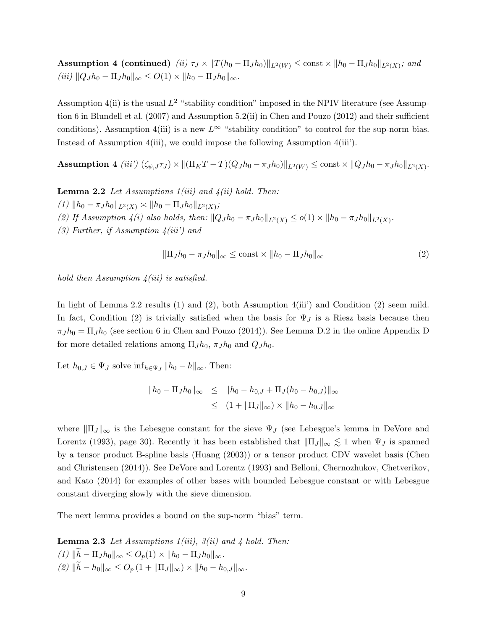${\rm Assumption~4~(continued)}~~(ii)$   $\tau_J \times \| T(h_0 - \Pi_J h_0) \|_{L^2(W)} \le {\rm const} \times \| h_0 - \Pi_J h_0 \|_{L^2(X)}$ ; and  $(iii)$   $||Q_J h_0 - \Pi_J h_0||_{\infty} \leq O(1) \times ||h_0 - \Pi_J h_0||_{\infty}$ .

Assumption 4(ii) is the usual  $L^2$  "stability condition" imposed in the NPIV literature (see Assumption 6 in Blundell et al. (2007) and Assumption 5.2(ii) in Chen and Pouzo (2012) and their sufficient conditions). Assumption 4(iii) is a new  $L^{\infty}$  "stability condition" to control for the sup-norm bias. Instead of Assumption 4(iii), we could impose the following Assumption 4(iii').

 $\textbf{Assumption~4}~~(iii')~(\zeta_{\psi,J}\tau_J)\times\|(\Pi_KT-T)(Q_Jh_0-\pi_Jh_0)\|_{L^2(W)}\leq \text{const}\times\|Q_Jh_0-\pi_Jh_0\|_{L^2(X)}.$ 

**Lemma 2.2** Let Assumptions  $1(iii)$  and  $4(ii)$  hold. Then:

 $(1)$   $\|h_0 - \pi_J h_0\|_{L^2(X)} \asymp \|h_0 - \Pi_J h_0\|_{L^2(X)};$ (2) If Assumption 4(i) also holds, then:  $||Q_J h_0 - \pi_J h_0||_{L^2(X)} \leq o(1) \times ||h_0 - \pi_J h_0||_{L^2(X)}$ . (3) Further, if Assumption  $4(iii')$  and

$$
\|\Pi_J h_0 - \pi_J h_0\|_{\infty} \le \text{const} \times \|h_0 - \Pi_J h_0\|_{\infty} \tag{2}
$$

hold then Assumption  $\chi(iii)$  is satisfied.

In light of Lemma 2.2 results (1) and (2), both Assumption 4(iii') and Condition (2) seem mild. In fact, Condition (2) is trivially satisfied when the basis for  $\Psi_J$  is a Riesz basis because then  $\pi_J h_0 = \Pi_J h_0$  (see section 6 in Chen and Pouzo (2014)). See Lemma D.2 in the online Appendix D for more detailed relations among  $\Pi_J h_0$ ,  $\pi_J h_0$  and  $Q_J h_0$ .

Let  $h_{0,J} \in \Psi_J$  solve  $\inf_{h \in \Psi_J} ||h_0 - h||_{\infty}$ . Then:

$$
||h_0 - \Pi_J h_0||_{\infty} \le ||h_0 - h_{0,J} + \Pi_J (h_0 - h_{0,J})||_{\infty}
$$
  

$$
\le (1 + ||\Pi_J||_{\infty}) \times ||h_0 - h_{0,J}||_{\infty}
$$

where  $\|\Pi_J\|_{\infty}$  is the Lebesgue constant for the sieve  $\Psi_J$  (see Lebesgue's lemma in DeVore and Lorentz (1993), page 30). Recently it has been established that  $\|\Pi_J\|_{\infty} \lesssim 1$  when  $\Psi_J$  is spanned by a tensor product B-spline basis (Huang (2003)) or a tensor product CDV wavelet basis (Chen and Christensen (2014)). See DeVore and Lorentz (1993) and Belloni, Chernozhukov, Chetverikov, and Kato (2014) for examples of other bases with bounded Lebesgue constant or with Lebesgue constant diverging slowly with the sieve dimension.

The next lemma provides a bound on the sup-norm "bias" term.

**Lemma 2.3** Let Assumptions  $1(iii)$ ,  $3(ii)$  and 4 hold. Then: (1)  $\|\tilde{h} - \Pi_J h_0\|_{\infty} \leq O_p(1) \times \|h_0 - \Pi_J h_0\|_{\infty}$ .  $(2)$   $\|\tilde{h} - h_0\|_{\infty} \leq O_p (1 + \|\Pi_J\|_{\infty}) \times \|h_0 - h_{0,J}\|_{\infty}$ .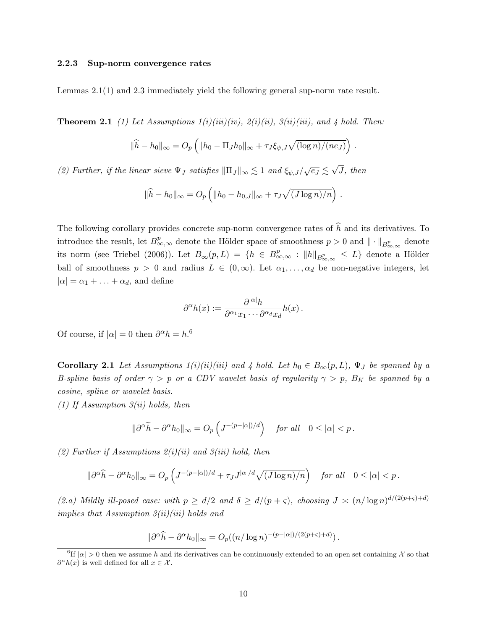#### 2.2.3 Sup-norm convergence rates

Lemmas 2.1(1) and 2.3 immediately yield the following general sup-norm rate result.

**Theorem 2.1** (1) Let Assumptions  $1(i)(iii)(iv)$ ,  $2(i)(ii)$ ,  $3(ii)(iii)$ , and 4 hold. Then:

$$
\|\widehat{h} - h_0\|_{\infty} = O_p\left(\|h_0 - \Pi_J h_0\|_{\infty} + \tau_J \xi_{\psi, J} \sqrt{\frac{\log n}{n_{J}}}\right).
$$

(2) Further, if the linear sieve  $\Psi_J$  satisfies  $\|\Pi_J\|_{\infty} \lesssim 1$  and  $\xi_{\psi,J}/\sqrt{e_J} \lesssim \sqrt{2}$ J, then

$$
\|\widehat{h} - h_0\|_{\infty} = O_p\left(\|h_0 - h_{0,J}\|_{\infty} + \tau_J\sqrt{(J\log n)/n}\right).
$$

The following corollary provides concrete sup-norm convergence rates of  $\hat{h}$  and its derivatives. To introduce the result, let  $B_{\infty,\infty}^p$  denote the Hölder space of smoothness  $p > 0$  and  $\|\cdot\|_{B_{\infty,\infty}^p}$  denote its norm (see Triebel (2006)). Let  $B_{\infty}(p, L) = \{h \in B_{\infty,\infty}^p : ||h||_{B_{\infty,\infty}^p} \leq L\}$  denote a Hölder ball of smoothness  $p > 0$  and radius  $L \in (0, \infty)$ . Let  $\alpha_1, \ldots, \alpha_d$  be non-negative integers, let  $|\alpha| = \alpha_1 + \ldots + \alpha_d$ , and define

$$
\partial^{\alpha}h(x) := \frac{\partial^{|\alpha|}h}{\partial^{\alpha_1}x_1\cdots\partial^{\alpha_d}x_d}h(x) .
$$

Of course, if  $|\alpha| = 0$  then  $\partial^{\alpha} h = h$ .<sup>6</sup>

**Corollary 2.1** Let Assumptions  $1(i)(ii)(iii)$  and 4 hold. Let  $h_0 \in B_{\infty}(p, L)$ ,  $\Psi_J$  be spanned by a B-spline basis of order  $\gamma > p$  or a CDV wavelet basis of regularity  $\gamma > p$ ,  $B_K$  be spanned by a cosine, spline or wavelet basis.

(1) If Assumption  $3(ii)$  holds, then

$$
\|\partial^{\alpha}\widetilde{h} - \partial^{\alpha}h_0\|_{\infty} = O_p\left(J^{-(p-|\alpha|)/d}\right) \quad \text{for all} \quad 0 \leq |\alpha| < p.
$$

(2) Further if Assumptions  $2(i)(ii)$  and  $3(iii)$  hold, then

$$
\|\partial^{\alpha}\widehat{h} - \partial^{\alpha}h_0\|_{\infty} = O_p\left(J^{-(p-|\alpha|)/d} + \tau_J J^{|\alpha|/d}\sqrt{(J\log n)/n}\right) \quad \text{for all} \quad 0 \le |\alpha| < p.
$$

(2.a) Mildly ill-posed case: with  $p \ge d/2$  and  $\delta \ge d/(p+\varsigma)$ , choosing  $J \asymp (n/\log n)^{d/(2(p+\varsigma)+d)}$ implies that Assumption  $3(ii)(iii)$  holds and

$$
\|\partial^{\alpha}\widehat{h} - \partial^{\alpha}h_0\|_{\infty} = O_p((n/\log n)^{-(p-|\alpha|)/(2(p+\varsigma)+d)}).
$$

<sup>&</sup>lt;sup>6</sup>If  $|\alpha| > 0$  then we assume h and its derivatives can be continuously extended to an open set containing X so that  $\partial^{\alpha}h(x)$  is well defined for all  $x \in \mathcal{X}$ .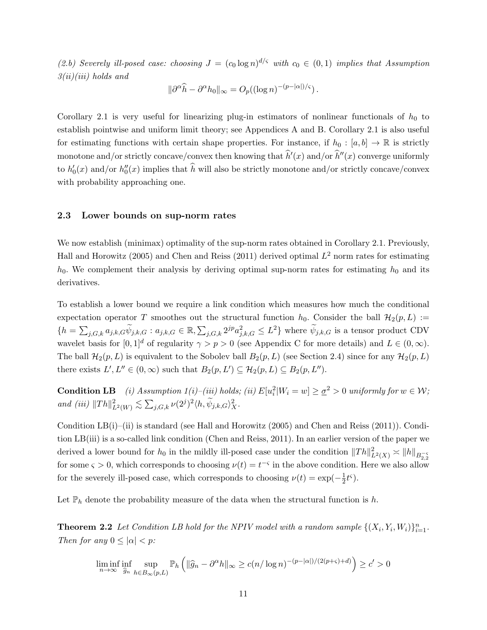(2.b) Severely ill-posed case: choosing  $J = (c_0 \log n)^{d/\varsigma}$  with  $c_0 \in (0,1)$  implies that Assumption  $3(ii)(iii)$  holds and

$$
\|\partial^{\alpha}\widehat{h} - \partial^{\alpha}h_0\|_{\infty} = O_p((\log n)^{-(p-|\alpha|)/\varsigma}).
$$

Corollary 2.1 is very useful for linearizing plug-in estimators of nonlinear functionals of  $h_0$  to establish pointwise and uniform limit theory; see Appendices A and B. Corollary 2.1 is also useful for estimating functions with certain shape properties. For instance, if  $h_0 : [a, b] \to \mathbb{R}$  is strictly monotone and/or strictly concave/convex then knowing that  $\hat{h}'(x)$  and/or  $\hat{h}''(x)$  converge uniformly to  $h'_0(x)$  and/or  $h''_0(x)$  implies that  $\widehat{h}$  will also be strictly monotone and/or strictly concave/convex with probability approaching one.

### 2.3 Lower bounds on sup-norm rates

We now establish (minimax) optimality of the sup-norm rates obtained in Corollary 2.1. Previously, Hall and Horowitz (2005) and Chen and Reiss (2011) derived optimal  $L^2$  norm rates for estimating  $h_0$ . We complement their analysis by deriving optimal sup-norm rates for estimating  $h_0$  and its derivatives.

To establish a lower bound we require a link condition which measures how much the conditional expectation operator T smoothes out the structural function  $h_0$ . Consider the ball  $\mathcal{H}_2(p, L) :=$  $\{h=\sum_{j,G,k}a_{j,k,G}\tilde{\psi}_{j,k,G}:a_{j,k,G}\in\mathbb{R},\sum_{j,G,k}2^{jp}a_{j,k,G}^2\leq L^2\}$  where  $\tilde{\psi}_{j,k,G}$  is a tensor product CDV wavelet basis for  $[0, 1]^d$  of regularity  $\gamma > p > 0$  (see Appendix C for more details) and  $L \in (0, \infty)$ . The ball  $\mathcal{H}_2(p,L)$  is equivalent to the Sobolev ball  $B_2(p,L)$  (see Section 2.4) since for any  $\mathcal{H}_2(p,L)$ there exists  $L', L'' \in (0, \infty)$  such that  $B_2(p, L') \subseteq \mathcal{H}_2(p, L) \subseteq B_2(p, L'')$ .

**Condition LB** (i) Assumption  $1(i)$ –(iii) holds; (ii)  $E[u_i^2|W_i = w] \ge \underline{\sigma}^2 > 0$  uniformly for  $w \in W$ ; and (iii)  $||Th||_{L^2(W)}^2 \lesssim \sum_{j,G,k} \nu(2^j)^2 \langle h, \widetilde{\psi}_{j,k,G} \rangle_X^2$ .

Condition LB(i)–(ii) is standard (see Hall and Horowitz (2005) and Chen and Reiss (2011)). Condition LB(iii) is a so-called link condition (Chen and Reiss, 2011). In an earlier version of the paper we derived a lower bound for  $h_0$  in the mildly ill-posed case under the condition  $||Th||_{L^2(X)}^2 \asymp ||h||_{B_{2,2}^{-5}}$ for some  $\varsigma > 0$ , which corresponds to choosing  $\nu(t) = t^{-\varsigma}$  in the above condition. Here we also allow for the severely ill-posed case, which corresponds to choosing  $\nu(t) = \exp(-\frac{1}{2})$  $\frac{1}{2}t^{\varsigma}$ ).

Let  $\mathbb{P}_h$  denote the probability measure of the data when the structural function is h.

**Theorem 2.2** Let Condition LB hold for the NPIV model with a random sample  $\{(X_i, Y_i, W_i)\}_{i=1}^n$ . Then for any  $0 \leq |\alpha| < p$ :

$$
\liminf_{n \to \infty} \inf_{\widehat{g}_n} \sup_{h \in B_{\infty}(p,L)} \mathbb{P}_h \left( \| \widehat{g}_n - \partial^{\alpha} h \|_{\infty} \ge c(n/\log n)^{-(p-|\alpha|)/(2(p+\varsigma)+d)} \right) \ge c' > 0
$$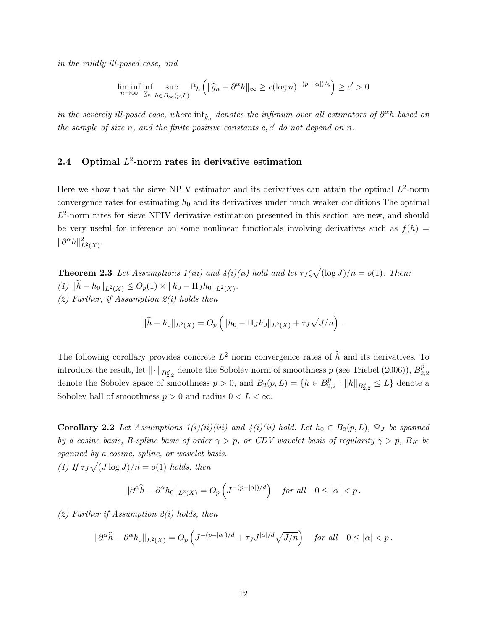in the mildly ill-posed case, and

$$
\liminf_{n \to \infty} \inf_{\widehat{g}_n} \sup_{h \in B_{\infty}(p,L)} \mathbb{P}_h \left( \| \widehat{g}_n - \partial^{\alpha} h \|_{\infty} \ge c (\log n)^{-(p-|\alpha|)/\varsigma} \right) \ge c' > 0
$$

in the severely ill-posed case, where  $\inf_{\widehat{g}_n}$  denotes the infimum over all estimators of  $\partial^{\alpha}h$  based on the sample of size n, and the finite positive constants  $c, c'$  do not depend on n.

### 2.4 Optimal  $L^2$ -norm rates in derivative estimation

Here we show that the sieve NPIV estimator and its derivatives can attain the optimal  $L^2$ -norm convergence rates for estimating  $h_0$  and its derivatives under much weaker conditions The optimal  $L^2$ -norm rates for sieve NPIV derivative estimation presented in this section are new, and should be very useful for inference on some nonlinear functionals involving derivatives such as  $f(h)$  =  $\|\partial^{\alpha}h\|_{L^2(X)}^2$ .

**Theorem 2.3** Let Assumptions  $1(iii)$  and  $4(i)(ii)$  hold and let  $\tau_J \zeta \sqrt{(\log J)/n} = o(1)$ . Then:  $(1)$   $\|h - h_0\|_{L^2(X)} \leq O_p(1) \times \|h_0 - \Pi_J h_0\|_{L^2(X)}$ . (2) Further, if Assumption  $2(i)$  holds then

$$
\|\widehat{h} - h_0\|_{L^2(X)} = O_p\left(\|h_0 - \Pi_J h_0\|_{L^2(X)} + \tau_J \sqrt{J/n}\right).
$$

The following corollary provides concrete  $L^2$  norm convergence rates of  $\hat{h}$  and its derivatives. To introduce the result, let  $\|\cdot\|_{B^p_{2,2}}$  denote the Sobolev norm of smoothness  $p$  (see Triebel (2006)),  $B^p_2$ 2,2 denote the Sobolev space of smoothness  $p > 0$ , and  $B_2(p, L) = \{h \in B_2^p\}$  $_{2,2}^{p}: \|h\|_{B^{p}_{2,2}} \leq L$ } denote a Sobolev ball of smoothness  $p > 0$  and radius  $0 < L < \infty$ .

Corollary 2.2 Let Assumptions  $1(i)(ii)(iii)$  and  $4(i)(ii)$  hold. Let  $h_0 \in B_2(p, L)$ ,  $\Psi_J$  be spanned by a cosine basis, B-spline basis of order  $\gamma > p$ , or CDV wavelet basis of regularity  $\gamma > p$ , B<sub>K</sub> be spanned by a cosine, spline, or wavelet basis.

(1) If  $\tau_J \sqrt{\frac{J \log J}{n}} = o(1)$  holds, then

$$
\|\partial^{\alpha}\widetilde{h} - \partial^{\alpha}h_0\|_{L^2(X)} = O_p\left(J^{-(p-|\alpha|)/d}\right) \quad \text{for all} \quad 0 \le |\alpha| < p.
$$

 $(2)$  Further if Assumption  $2(i)$  holds, then

$$
\|\partial^{\alpha}\widehat{h} - \partial^{\alpha}h_0\|_{L^2(X)} = O_p\left(J^{-(p-|\alpha|)/d} + \tau_J J^{|\alpha|/d}\sqrt{J/n}\right) \quad \text{for all} \quad 0 \le |\alpha| < p\,.
$$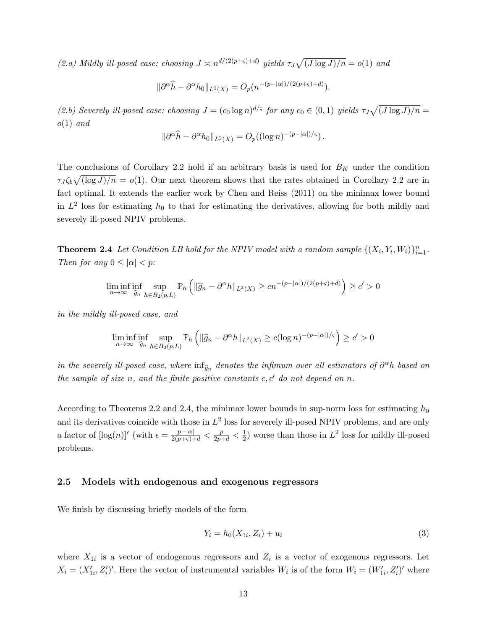(2.a) Mildly ill-posed case: choosing  $J \n\asymp n^{d/(2(p+\varsigma)+d)}$  yields  $\tau_J \sqrt{(J \log J)/n} = o(1)$  and

$$
\|\partial^{\alpha}\widehat{h} - \partial^{\alpha}h_0\|_{L^2(X)} = O_p(n^{-(p-|\alpha|)/(2(p+\varsigma)+d)}).
$$

(2.b) Severely ill-posed case: choosing  $J = (c_0 \log n)^{d/\varsigma}$  for any  $c_0 \in (0,1)$  yields  $\tau_J \sqrt{(J \log J)/n} =$  $o(1)$  and

$$
\|\partial^{\alpha}\widehat{h} - \partial^{\alpha}h_0\|_{L^2(X)} = O_p((\log n)^{-(p-|\alpha|)/\varsigma}).
$$

The conclusions of Corollary 2.2 hold if an arbitrary basis is used for  $B_K$  under the condition  $\tau J \zeta_b \sqrt{\log J / n} = o(1)$ . Our next theorem shows that the rates obtained in Corollary 2.2 are in fact optimal. It extends the earlier work by Chen and Reiss (2011) on the minimax lower bound in  $L^2$  loss for estimating  $h_0$  to that for estimating the derivatives, allowing for both mildly and severely ill-posed NPIV problems.

**Theorem 2.4** Let Condition LB hold for the NPIV model with a random sample  $\{(X_i, Y_i, W_i)\}_{i=1}^n$ . Then for any  $0 \leq |\alpha| < p$ :

$$
\liminf_{n \to \infty} \inf_{\hat{g}_n} \sup_{h \in B_2(p,L)} \mathbb{P}_h \left( \| \hat{g}_n - \partial^{\alpha} h \|_{L^2(X)} \ge c n^{-(p-|\alpha|)/(2(p+\varsigma)+d)} \right) \ge c' > 0
$$

in the mildly ill-posed case, and

$$
\liminf_{n \to \infty} \inf_{\widehat{g}_n} \sup_{h \in B_2(p,L)} \mathbb{P}_h \left( \| \widehat{g}_n - \partial^{\alpha} h \|_{L^2(X)} \ge c (\log n)^{-(p-|\alpha|)/\varsigma} \right) \ge c' > 0
$$

in the severely ill-posed case, where  $\inf_{\widehat{g}_n}$  denotes the infimum over all estimators of  $\partial^{\alpha}h$  based on the sample of size n, and the finite positive constants  $c, c'$  do not depend on n.

According to Theorems 2.2 and 2.4, the minimax lower bounds in sup-norm loss for estimating  $h_0$ and its derivatives coincide with those in  $L^2$  loss for severely ill-posed NPIV problems, and are only a factor of  $[\log(n)]^{\epsilon}$  (with  $\epsilon = \frac{p-|\alpha|}{2(p+\varsigma)+d} < \frac{p}{2p+d} < \frac{1}{2}$  $\frac{1}{2}$ ) worse than those in  $L^2$  loss for mildly ill-posed problems.

### 2.5 Models with endogenous and exogenous regressors

We finish by discussing briefly models of the form

$$
Y_i = h_0(X_{1i}, Z_i) + u_i \tag{3}
$$

where  $X_{1i}$  is a vector of endogenous regressors and  $Z_i$  is a vector of exogenous regressors. Let  $X_i = (X'_{1i}, Z'_i)'$ . Here the vector of instrumental variables  $W_i$  is of the form  $W_i = (W'_{1i}, Z'_i)'$  where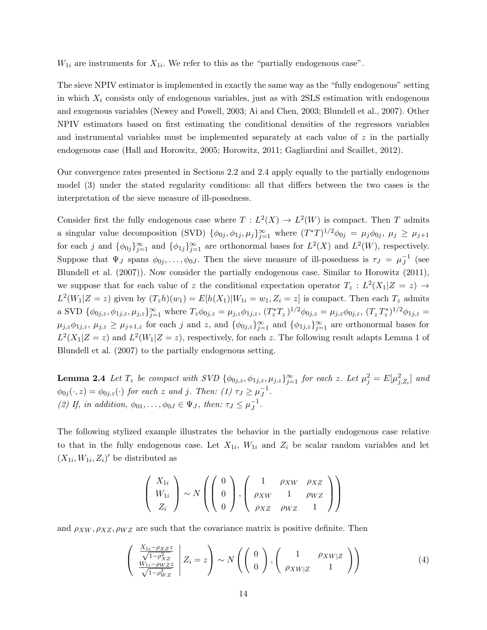$W_{1i}$  are instruments for  $X_{1i}$ . We refer to this as the "partially endogenous case".

The sieve NPIV estimator is implemented in exactly the same way as the "fully endogenous" setting in which  $X_i$  consists only of endogenous variables, just as with 2SLS estimation with endogenous and exogenous variables (Newey and Powell, 2003; Ai and Chen, 2003; Blundell et al., 2007). Other NPIV estimators based on first estimating the conditional densities of the regressors variables and instrumental variables must be implemented separately at each value of  $z$  in the partially endogenous case (Hall and Horowitz, 2005; Horowitz, 2011; Gagliardini and Scaillet, 2012).

Our convergence rates presented in Sections 2.2 and 2.4 apply equally to the partially endogenous model (3) under the stated regularity conditions: all that differs between the two cases is the interpretation of the sieve measure of ill-posedness.

Consider first the fully endogenous case where  $T : L^2(X) \to L^2(W)$  is compact. Then T admits a singular value decomposition (SVD)  $\{\phi_{0j}, \phi_{1j}, \mu_j\}_{j=1}^{\infty}$  where  $(T^*T)^{1/2}\phi_{0j} = \mu_j\phi_{0j}, \mu_j \ge \mu_{j+1}$ for each j and  $\{\phi_{0j}\}_{j=1}^{\infty}$  and  $\{\phi_{1j}\}_{j=1}^{\infty}$  are orthonormal bases for  $L^2(X)$  and  $L^2(W)$ , respectively. Suppose that  $\Psi_J$  spans  $\phi_{0j}, \ldots, \phi_{0J}$ . Then the sieve measure of ill-posedness is  $\tau_J = \mu_J^{-1}$  $J^1$  (see Blundell et al. (2007)). Now consider the partially endogenous case. Similar to Horowitz (2011), we suppose that for each value of z the conditional expectation operator  $T_z : L^2(X_1|Z = z) \rightarrow$  $L^2(W_1|Z=z)$  given by  $(T_zh)(w_1)=E[h(X_1)|W_{1i}=w_1, Z_i=z]$  is compact. Then each  $T_z$  admits a SVD  $\{\phi_{0j,z}, \phi_{1j,z}, \mu_{j,z}\}_{j=1}^{\infty}$  where  $T_z\phi_{0j,z} = \mu_{j,z}\phi_{1j,z}, (T_z^*T_z)^{1/2}\phi_{0j,z} = \mu_{j,z}\phi_{0j,z}, (T_z^*T_z^*)^{1/2}\phi_{1j,z} =$  $\mu_{j,z}\phi_{1j,z},\ \mu_{j,z}\geq\mu_{j+1,z}$  for each j and z, and  $\{\phi_{0j,z}\}_{j=1}^{\infty}$  and  $\{\phi_{1j,z}\}_{j=1}^{\infty}$  are orthonormal bases for  $L^2(X_1|Z=z)$  and  $L^2(W_1|Z=z)$ , respectively, for each z. The following result adapts Lemma 1 of Blundell et al. (2007) to the partially endogenous setting.

**Lemma 2.4** Let  $T_z$  be compact with SVD  $\{\phi_{0j,z}, \phi_{1j,z}, \mu_{j,z}\}_{j=1}^{\infty}$  for each z. Let  $\mu_j^2 = E[\mu_{j,Z_i}^2]$  and  $\phi_{0j}(\cdot,z) = \phi_{0j,z}(\cdot)$  for each z and j. Then: (1)  $\tau_J \ge \mu_J^{-1}$  $^{-1}$ . (2) If, in addition,  $\phi_{01}, \ldots, \phi_{0J} \in \Psi_J$ , then:  $\tau_J \leq \mu_J^{-1}$  $J^1$ .

The following stylized example illustrates the behavior in the partially endogenous case relative to that in the fully endogenous case. Let  $X_{1i}$ ,  $W_{1i}$  and  $Z_i$  be scalar random variables and let  $(X_{1i}, W_{1i}, Z_i)'$  be distributed as

$$
\left(\begin{array}{c} X_{1i} \\ W_{1i} \\ Z_i \end{array}\right) \sim N\left(\left(\begin{array}{c} 0 \\ 0 \\ 0 \end{array}\right), \left(\begin{array}{ccc} 1 & \rho_{XW} & \rho_{XZ} \\ \rho_{XW} & 1 & \rho_{WZ} \\ \rho_{XZ} & \rho_{WZ} & 1 \end{array}\right)\right)
$$

and  $\rho_{XW}, \rho_{XZ}, \rho_{WZ}$  are such that the covariance matrix is positive definite. Then

$$
\begin{pmatrix} \frac{X_{1i} - \rho_{XZ} z}{\sqrt{1 - \rho_{XZ}^2}} \\ \frac{W_{1i} - \rho_{WZ} z}{\sqrt{1 - \rho_{WZ}^2}} \end{pmatrix} Z_i = z \qquad \sim N \left( \begin{pmatrix} 0 \\ 0 \end{pmatrix}, \begin{pmatrix} 1 & \rho_{XW|Z} \\ \rho_{XW|Z} & 1 \end{pmatrix} \right)
$$
 (4)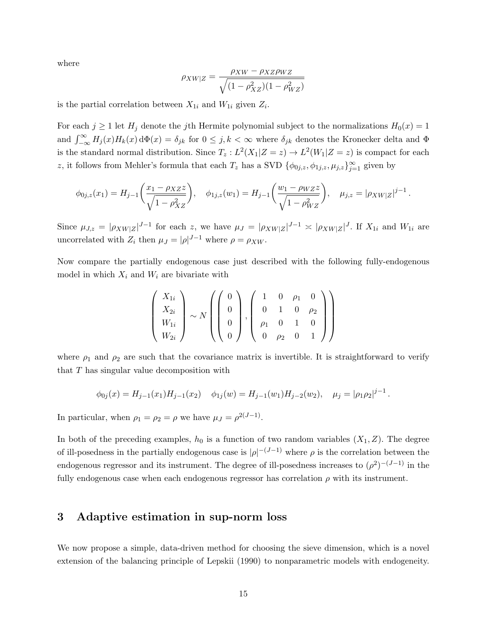where

$$
\rho_{XW|Z} = \frac{\rho_{XW} - \rho_{XZ}\rho_{WZ}}{\sqrt{(1-\rho_{XZ}^2)(1-\rho_{WZ}^2)}}
$$

is the partial correlation between  $X_{1i}$  and  $W_{1i}$  given  $Z_i$ .

For each  $j \ge 1$  let  $H_j$  denote the j<sup>th</sup> Hermite polynomial subject to the normalizations  $H_0(x) = 1$ and  $\int_{-\infty}^{\infty} H_j(x)H_k(x) d\Phi(x) = \delta_{jk}$  for  $0 \leq j, k < \infty$  where  $\delta_{jk}$  denotes the Kronecker delta and  $\Phi$ is the standard normal distribution. Since  $T_z: L^2(X_1|Z=z) \to L^2(W_1|Z=z)$  is compact for each z, it follows from Mehler's formula that each  $T_z$  has a SVD  $\{\phi_{0j,z}, \phi_{1j,z}, \mu_{j,z}\}_{j=1}^{\infty}$  given by

$$
\phi_{0j,z}(x_1) = H_{j-1}\bigg(\frac{x_1 - \rho_{XZ}z}{\sqrt{1 - \rho_{XZ}^2}}\bigg), \quad \phi_{1j,z}(w_1) = H_{j-1}\bigg(\frac{w_1 - \rho_{WZ}z}{\sqrt{1 - \rho_{WZ}^2}}\bigg), \quad \mu_{j,z} = |\rho_{XW|Z}|^{j-1}.
$$

Since  $\mu_{J,z} = |\rho_{XW|Z}|^{J-1}$  for each z, we have  $\mu_J = |\rho_{XW|Z}|^{J-1} \approx |\rho_{XW|Z}|^J$ . If  $X_{1i}$  and  $W_{1i}$  are uncorrelated with  $Z_i$  then  $\mu_J = |\rho|^{J-1}$  where  $\rho = \rho_{XW}$ .

Now compare the partially endogenous case just described with the following fully-endogenous model in which  $X_i$  and  $W_i$  are bivariate with

$$
\left(\begin{array}{c} X_{1i} \\ X_{2i} \\ W_{1i} \\ W_{2i} \end{array}\right) \sim N \left(\left(\begin{array}{c} 0 \\ 0 \\ 0 \\ 0 \end{array}\right), \left(\begin{array}{cccc} 1 & 0 & \rho_1 & 0 \\ 0 & 1 & 0 & \rho_2 \\ \rho_1 & 0 & 1 & 0 \\ 0 & \rho_2 & 0 & 1 \end{array}\right)\right)
$$

where  $\rho_1$  and  $\rho_2$  are such that the covariance matrix is invertible. It is straightforward to verify that T has singular value decomposition with

$$
\phi_{0j}(x) = H_{j-1}(x_1)H_{j-1}(x_2) \quad \phi_{1j}(w) = H_{j-1}(w_1)H_{j-2}(w_2), \quad \mu_j = |\rho_1 \rho_2|^{j-1}.
$$

In particular, when  $\rho_1 = \rho_2 = \rho$  we have  $\mu_J = \rho^{2(J-1)}$ .

In both of the preceding examples,  $h_0$  is a function of two random variables  $(X_1, Z)$ . The degree of ill-posedness in the partially endogenous case is  $|\rho|^{-(J-1)}$  where  $\rho$  is the correlation between the endogenous regressor and its instrument. The degree of ill-posedness increases to  $(\rho^2)^{-(J-1)}$  in the fully endogenous case when each endogenous regressor has correlation  $\rho$  with its instrument.

### 3 Adaptive estimation in sup-norm loss

We now propose a simple, data-driven method for choosing the sieve dimension, which is a novel extension of the balancing principle of Lepskii (1990) to nonparametric models with endogeneity.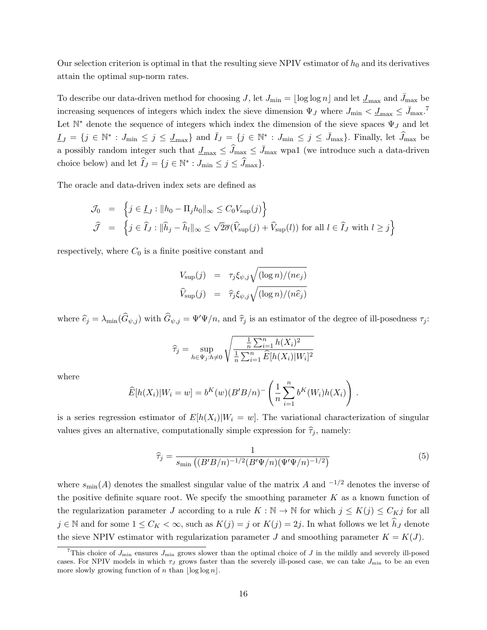Our selection criterion is optimal in that the resulting sieve NPIV estimator of  $h_0$  and its derivatives attain the optimal sup-norm rates.

To describe our data-driven method for choosing J, let  $J_{\min} = \lfloor \log \log n \rfloor$  and let  $J_{\max}$  and  $\bar{J}_{\max}$  be increasing sequences of integers which index the sieve dimension  $\Psi_J$  where  $J_{\text{min}} < \underline{J}_{\text{max}} \leq \overline{J}_{\text{max}}$ .<sup>7</sup> Let  $\mathbb{N}^*$  denote the sequence of integers which index the dimension of the sieve spaces  $\Psi_J$  and let  $I_J = \{j \in \mathbb{N}^* : J_{\min} \leq j \leq J_{\max}\}\$ and  $\overline{I}_J = \{j \in \mathbb{N}^* : J_{\min} \leq j \leq \overline{J}_{\max}\}\$ . Finally, let  $\widehat{J}_{\max}$  be a possibly random integer such that  $\underline{J}_{\text{max}} \leq \widehat{J}_{\text{max}} \leq \overline{J}_{\text{max}}$  wpa1 (we introduce such a data-driven choice below) and let  $\widehat{I}_J = \{ j \in \mathbb{N}^* : J_{\min} \le j \le \widehat{J}_{\max} \}.$ 

The oracle and data-driven index sets are defined as

$$
\mathcal{J}_0 = \left\{ j \in I_J : \|h_0 - \Pi_j h_0\|_{\infty} \le C_0 V_{\sup}(j) \right\}
$$
  

$$
\widehat{\mathcal{J}} = \left\{ j \in \widehat{I}_J : \|\widehat{h}_j - \widehat{h}_l\|_{\infty} \le \sqrt{2\sigma}(\widehat{V}_{\sup}(j) + \widehat{V}_{\sup}(l)) \text{ for all } l \in \widehat{I}_J \text{ with } l \ge j \right\}
$$

respectively, where  $C_0$  is a finite positive constant and

$$
V_{\text{sup}}(j) = \tau_j \xi_{\psi,j} \sqrt{(\log n) / (n e_j)}
$$
  

$$
\widehat{V}_{\text{sup}}(j) = \widehat{\tau}_j \xi_{\psi,j} \sqrt{(\log n) / (n \widehat{e}_j)}
$$

where  $\hat{e}_j = \lambda_{\min}(\hat{G}_{\psi,j})$  with  $\hat{G}_{\psi,j} = \Psi'\Psi/n$ , and  $\hat{\tau}_j$  is an estimator of the degree of ill-posedness  $\tau_j$ :

$$
\widehat{\tau}_j = \sup_{h \in \Psi_j : h \neq 0} \sqrt{\frac{\frac{1}{n} \sum_{i=1}^n h(X_i)^2}{\frac{1}{n} \sum_{i=1}^n \widehat{E}[h(X_i)|W_i]^2}}
$$

where

$$
\widehat{E}[h(X_i)|W_i = w] = b^K(w)(B'B/n)^{-} \left(\frac{1}{n}\sum_{i=1}^n b^K(W_i)h(X_i)\right).
$$

is a series regression estimator of  $E[h(X_i)|W_i = w]$ . The variational characterization of singular values gives an alternative, computationally simple expression for  $\hat{\tau}_j$ , namely:

$$
\hat{\tau}_j = \frac{1}{s_{\min} \left( (B'B/n)^{-1/2} (B'\Psi/n)(\Psi'\Psi/n)^{-1/2} \right)} \tag{5}
$$

where  $s_{\min}(A)$  denotes the smallest singular value of the matrix A and  $^{-1/2}$  denotes the inverse of the positive definite square root. We specify the smoothing parameter  $K$  as a known function of the regularization parameter J according to a rule  $K : \mathbb{N} \to \mathbb{N}$  for which  $j \le K(j) \le C_K j$  for all  $j \in \mathbb{N}$  and for some  $1 \leq C_K < \infty$ , such as  $K(j) = j$  or  $K(j) = 2j$ . In what follows we let  $\widehat{h}_J$  denote the sieve NPIV estimator with regularization parameter J and smoothing parameter  $K = K(J)$ .

<sup>&</sup>lt;sup>7</sup>This choice of  $J_{\min}$  ensures  $J_{\min}$  grows slower than the optimal choice of J in the mildly and severely ill-posed cases. For NPIV models in which  $\tau_J$  grows faster than the severely ill-posed case, we can take  $J_{\text{min}}$  to be an even more slowly growing function of n than  $\log \log n$ .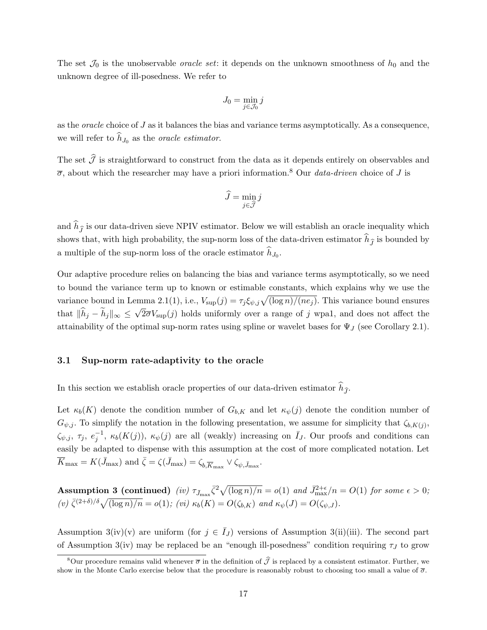The set  $\mathcal{J}_0$  is the unobservable *oracle set*: it depends on the unknown smoothness of  $h_0$  and the unknown degree of ill-posedness. We refer to

$$
J_0=\min_{j\in\mathcal{J}_0}j
$$

as the oracle choice of J as it balances the bias and variance terms asymptotically. As a consequence, we will refer to  $h_{J_0}$  as the *oracle estimator*.

The set  $\widehat{\mathcal{J}}$  is straightforward to construct from the data as it depends entirely on observables and  $\overline{\sigma}$ , about which the researcher may have a priori information.<sup>8</sup> Our *data-driven* choice of J is

$$
\widehat{J} = \min_{j \in \widehat{\mathcal{J}}} j
$$

and  $\widehat{h}_{\widehat{J}}$  is our data-driven sieve NPIV estimator. Below we will establish an oracle inequality which shows that, with high probability, the sup-norm loss of the data-driven estimator  $\hat{h}_{\hat{I}}$  is bounded by a multiple of the sup-norm loss of the oracle estimator  $h_{J_0}$ .

Our adaptive procedure relies on balancing the bias and variance terms asymptotically, so we need to bound the variance term up to known or estimable constants, which explains why we use the variance bound in Lemma 2.1(1), i.e.,  $V_{\text{sup}}(j) = \tau_j \xi_{\psi,j} \sqrt{(\log n)/(n_{\mathcal{E}})}$ . This variance bound ensures that  $||h_j - h_j||_{\infty} \leq \sqrt{2\overline{\sigma}}V_{\text{sup}}(j)$  holds uniformly over a range of j wpa1, and does not affect the attainability of the optimal sup-norm rates using spline or wavelet bases for  $\Psi_J$  (see Corollary 2.1).

#### 3.1 Sup-norm rate-adaptivity to the oracle

In this section we establish oracle properties of our data-driven estimator  $\hat{h}_{\hat{J}}$ .

Let  $\kappa_b(K)$  denote the condition number of  $G_{b,K}$  and let  $\kappa_{\psi}(j)$  denote the condition number of  $G_{\psi,j}$ . To simplify the notation in the following presentation, we assume for simplicity that  $\zeta_{b,K(j)},$  $\zeta_{\psi,j}, \tau_j, e_j^{-1}, \kappa_b(K(j)), \kappa_{\psi}(j)$  are all (weakly) increasing on  $\overline{I}_J$ . Our proofs and conditions can easily be adapted to dispense with this assumption at the cost of more complicated notation. Let  $\overline{K}_{\max} = K(\bar{J}_{\max})$  and  $\bar{\zeta} = \zeta(\bar{J}_{\max}) = \zeta_{b,\overline{K}_{\max}} \vee \zeta_{\psi,\bar{J}_{\max}}$ .

**Assumption 3 (continued)** (iv)  $\tau_{\bar{J}_{\max}} \bar{\zeta}^2 \sqrt{(\log n)/n} = o(1)$  and  $\bar{J}_{\max}^{2+\epsilon}/n = O(1)$  for some  $\epsilon > 0$ ; (v)  $\bar{\zeta}^{(2+\delta)/\delta}\sqrt{(\log n)/n} = o(1)$ ; (vi)  $\kappa_b(K) = O(\zeta_{b,K})$  and  $\kappa_{\psi}(J) = O(\zeta_{\psi,J}).$ 

Assumption 3(iv)(v) are uniform (for  $j \in \overline{I}_J$ ) versions of Assumption 3(ii)(iii). The second part of Assumption 3(iv) may be replaced be an "enough ill-posedness" condition requiring  $\tau_J$  to grow

<sup>&</sup>lt;sup>8</sup>Our procedure remains valid whenever  $\bar{\sigma}$  in the definition of  $\hat{J}$  is replaced by a consistent estimator. Further, we show in the Monte Carlo exercise below that the procedure is reasonably robust to choosing too small a value of  $\bar{\sigma}$ .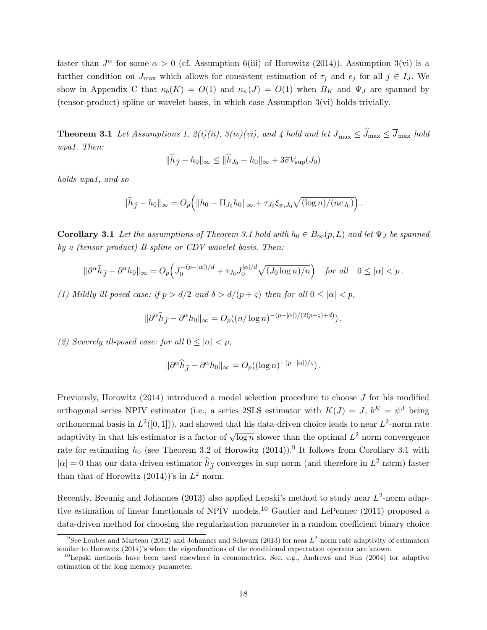faster than  $J^{\alpha}$  for some  $\alpha > 0$  (cf. Assumption 6(iii) of Horowitz (2014)). Assumption 3(vi) is a further condition on  $J_{\text{max}}$  which allows for consistent estimation of  $\tau_i$  and  $e_j$  for all  $j \in I_J$ . We show in Appendix C that  $\kappa_b(K) = O(1)$  and  $\kappa_{\psi}(J) = O(1)$  when  $B_K$  and  $\Psi_J$  are spanned by (tensor-product) spline or wavelet bases, in which case Assumption 3(vi) holds trivially.

**Theorem 3.1** Let Assumptions 1,  $2(i)(ii)$ ,  $3(iv)(vi)$ , and 4 hold and let  $\underline{J}_{\text{max}} \leq \widehat{J}_{\text{max}}$  hold wpa1. Then:

$$
\|\widehat{h}_{\widehat{J}} - h_0\|_{\infty} \le \|\widehat{h}_{J_0} - h_0\|_{\infty} + 3\overline{\sigma}V_{\sup}(J_0)
$$

holds wpa1, and so

$$
\|\widehat{h}_{\widehat{J}} - h_0\|_{\infty} = O_p\Big(\|h_0 - \Pi_{J_0}h_0\|_{\infty} + \tau_{J_0}\xi_{\psi, J_0}\sqrt{(\log n)/(ne_{J_0})}\Big).
$$

**Corollary 3.1** Let the assumptions of Theorem 3.1 hold with  $h_0 \in B_{\infty}(p, L)$  and let  $\Psi_J$  be spanned by a (tensor product) B-spline or CDV wavelet basis. Then:

$$
\|\partial^{\alpha}\widehat{h}_{\widehat{J}} - \partial^{\alpha}h_0\|_{\infty} = O_p\Big(J_0^{-(p-|\alpha|)/d} + \tau_{J_0}J_0^{|\alpha|/d}\sqrt{(J_0\log n)/n}\Big) \quad \text{for all} \quad 0 \le |\alpha| < p.
$$

(1) Mildly ill-posed case: if  $p > d/2$  and  $\delta > d/(p + \varsigma)$  then for all  $0 \leq |\alpha| < p$ ,

$$
\|\partial^{\alpha}\widehat{h}_{\widehat{J}} - \partial^{\alpha}h_0\|_{\infty} = O_p((n/\log n)^{-(p-|\alpha|)/(2(p+\varsigma)+d)}).
$$

(2) Severely ill-posed case: for all  $0 \leq |\alpha| < p$ ,

$$
\|\partial^{\alpha}\widehat{h}_{\widehat{J}} - \partial^{\alpha}h_0\|_{\infty} = O_p((\log n)^{-(p-|\alpha|)/\varsigma}).
$$

Previously, Horowitz (2014) introduced a model selection procedure to choose J for his modified orthogonal series NPIV estimator (i.e., a series 2SLS estimator with  $K(J) = J$ ,  $b^K = \psi^J$  being orthonormal basis in  $L^2([0,1])$ , and showed that his data-driven choice leads to near  $L^2$ -norm rate adaptivity in that his estimator is a factor of  $\sqrt{\log n}$  slower than the optimal  $L^2$  norm convergence rate for estimating  $h_0$  (see Theorem 3.2 of Horowitz (2014)).<sup>9</sup> It follows from Corollary 3.1 with  $|\alpha| = 0$  that our data-driven estimator  $\hat{h}_{\hat{J}}$  converges in sup norm (and therefore in  $L^2$  norm) faster than that of Horowitz  $(2014)$ 's in  $L^2$  norm.

Recently, Breunig and Johannes (2013) also applied Lepski's method to study near  $L^2$ -norm adaptive estimation of linear functionals of NPIV models.<sup>10</sup> Gautier and LePennec (2011) proposed a data-driven method for choosing the regularization parameter in a random coefficient binary choice

<sup>&</sup>lt;sup>9</sup>See Loubes and Marteau (2012) and Johannes and Schwarz (2013) for near  $L^2$ -norm rate adaptivity of estimators similar to Horowitz (2014)'s when the eigenfunctions of the conditional expectation operator are known.

 $10$ Lepski methods have been used elsewhere in econometrics. See, e.g., Andrews and Sun (2004) for adaptive estimation of the long memory parameter.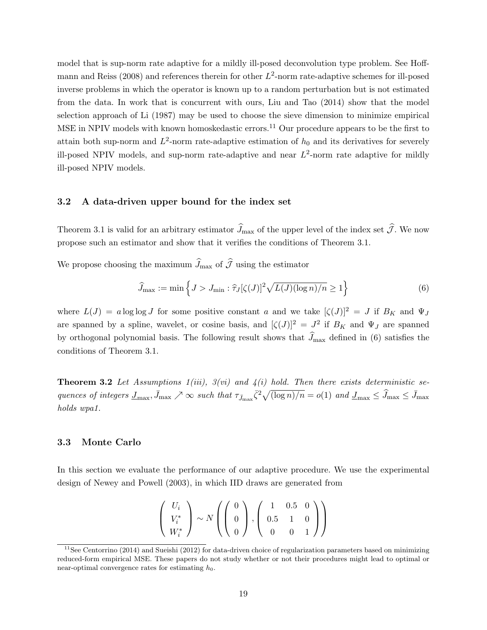model that is sup-norm rate adaptive for a mildly ill-posed deconvolution type problem. See Hoffmann and Reiss (2008) and references therein for other  $L^2$ -norm rate-adaptive schemes for ill-posed inverse problems in which the operator is known up to a random perturbation but is not estimated from the data. In work that is concurrent with ours, Liu and Tao (2014) show that the model selection approach of Li (1987) may be used to choose the sieve dimension to minimize empirical MSE in NPIV models with known homoskedastic errors.<sup>11</sup> Our procedure appears to be the first to attain both sup-norm and  $L^2$ -norm rate-adaptive estimation of  $h_0$  and its derivatives for severely ill-posed NPIV models, and sup-norm rate-adaptive and near  $L^2$ -norm rate adaptive for mildly ill-posed NPIV models.

### 3.2 A data-driven upper bound for the index set

Theorem 3.1 is valid for an arbitrary estimator  $\widehat{J}_{\text{max}}$  of the upper level of the index set  $\widehat{J}$ . We now propose such an estimator and show that it verifies the conditions of Theorem 3.1.

We propose choosing the maximum  $\hat{J}_{\text{max}}$  of  $\hat{\mathcal{J}}$  using the estimator

$$
\widehat{J}_{\max} := \min \left\{ J > J_{\min} : \widehat{\tau}_J[\zeta(J)]^2 \sqrt{L(J)(\log n)/n} \ge 1 \right\} \tag{6}
$$

where  $L(J) = a \log \log J$  for some positive constant a and we take  $|\zeta(J)|^2 = J$  if  $B_K$  and  $\Psi_J$ are spanned by a spline, wavelet, or cosine basis, and  $[\zeta(J)]^2 = J^2$  if  $B_K$  and  $\Psi_J$  are spanned by orthogonal polynomial basis. The following result shows that  $\hat{J}_{\text{max}}$  defined in (6) satisfies the conditions of Theorem 3.1.

**Theorem 3.2** Let Assumptions  $1(iii)$ ,  $3(vi)$  and  $4(i)$  hold. Then there exists deterministic sequences of integers  $\underline{J}_{\text{max}}$ ,  $\overline{J}_{\text{max}} \nearrow \infty$  such that  $\tau_{\overline{J}_{\text{max}}} \overline{\zeta^2} \sqrt{(\log n)/n} = o(1)$  and  $\underline{J}_{\text{max}} \leq \widehat{J}_{\text{max}} \leq \overline{J}_{\text{max}}$ holds wpa1.

#### 3.3 Monte Carlo

In this section we evaluate the performance of our adaptive procedure. We use the experimental design of Newey and Powell (2003), in which IID draws are generated from

$$
\left(\begin{array}{c} U_i \\ V_i^* \\ W_i^* \end{array}\right) \sim N\left(\left(\begin{array}{c} 0 \\ 0 \\ 0 \end{array}\right), \left(\begin{array}{ccc} 1 & 0.5 & 0 \\ 0.5 & 1 & 0 \\ 0 & 0 & 1 \end{array}\right)\right)
$$

<sup>&</sup>lt;sup>11</sup>See Centorrino (2014) and Sueishi (2012) for data-driven choice of regularization parameters based on minimizing reduced-form empirical MSE. These papers do not study whether or not their procedures might lead to optimal or near-optimal convergence rates for estimating  $h_0$ .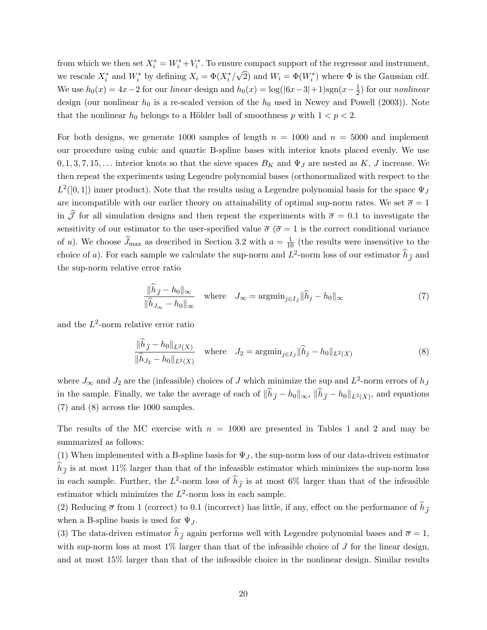from which we then set  $X_i^* = W_i^* + V_i^*$ . To ensure compact support of the regressor and instrument, we rescale  $X_i^*$  and  $W_i^*$  by defining  $X_i = \Phi(X_i^*/\sqrt{2})$  and  $W_i = \Phi(W_i^*)$  where  $\Phi$  is the Gaussian cdf. We use  $h_0(x) = 4x - 2$  for our linear design and  $h_0(x) = \log(|6x-3|+1)\text{sgn}(x-\frac{1}{2})$  $(\frac{1}{2})$  for our *nonlinear* design (our nonlinear  $h_0$  is a re-scaled version of the  $h_0$  used in Newey and Powell (2003)). Note that the nonlinear  $h_0$  belongs to a Hölder ball of smoothness p with  $1 < p < 2$ .

For both designs, we generate 1000 samples of length  $n = 1000$  and  $n = 5000$  and implement our procedure using cubic and quartic B-spline bases with interior knots placed evenly. We use  $0, 1, 3, 7, 15, \ldots$  interior knots so that the sieve spaces  $B_K$  and  $\Psi_J$  are nested as K, J increase. We then repeat the experiments using Legendre polynomial bases (orthonormalized with respect to the  $L^2([0,1])$  inner product). Note that the results using a Legendre polynomial basis for the space  $\Psi_J$ are incompatible with our earlier theory on attainability of optimal sup-norm rates. We set  $\bar{\sigma} = 1$ in  $\hat{J}$  for all simulation designs and then repeat the experiments with  $\bar{\sigma} = 0.1$  to investigate the sensitivity of our estimator to the user-specified value  $\bar{\sigma}$  ( $\bar{\sigma} = 1$  is the correct conditional variance of u). We choose  $\widehat{J}_{\text{max}}$  as described in Section 3.2 with  $a = \frac{1}{10}$  (the results were insensitive to the choice of a). For each sample we calculate the sup-norm and  $L^2$ -norm loss of our estimator  $\hat{h}_{\hat{J}}$  and the sup-norm relative error ratio

$$
\frac{\|\widehat{h}_{\widehat{J}} - h_0\|_{\infty}}{\|\widehat{h}_{J_{\infty}} - h_0\|_{\infty}} \quad \text{where} \quad J_{\infty} = \operatorname{argmin}_{j \in I_J} \|\widehat{h}_j - h_0\|_{\infty} \tag{7}
$$

and the  $L^2$ -norm relative error ratio

$$
\frac{\|h_{\hat{J}} - h_0\|_{L^2(X)}}{\|\hat{h}_{J_2} - h_0\|_{L^2(X)}} \quad \text{where} \quad J_2 = \operatorname{argmin}_{j \in I_J} \|\hat{h}_j - h_0\|_{L^2(X)} \tag{8}
$$

where  $J_{\infty}$  and  $J_2$  are the (infeasible) choices of J which minimize the sup and  $L^2$ -norm errors of  $h_J$ in the sample. Finally, we take the average of each of  $||h_{\hat{J}} - h_0||_{\infty}$ ,  $||h_{\hat{J}} - h_0||_{L^2(X)}$ , and equations (7) and (8) across the 1000 samples.

The results of the MC exercise with  $n = 1000$  are presented in Tables 1 and 2 and may be summarized as follows:

(1) When implemented with a B-spline basis for  $\Psi_J$ , the sup-norm loss of our data-driven estimator  $\widehat{h}_{\widehat{I}}$  is at most 11% larger than that of the infeasible estimator which minimizes the sup-norm loss in each sample. Further, the  $L^2$ -norm loss of  $\hat{h}_{\hat{J}}$  is at most 6% larger than that of the infeasible estimator which minimizes the  $L^2$ -norm loss in each sample.

(2) Reducing  $\bar{\sigma}$  from 1 (correct) to 0.1 (incorrect) has little, if any, effect on the performance of  $\hat{h}_{\hat{\tau}}$ when a B-spline basis is used for  $\Psi_J$ .

(3) The data-driven estimator  $\hat{h}_{\hat{\tau}}$  again performs well with Legendre polynomial bases and  $\bar{\sigma} = 1$ , with sup-norm loss at most  $1\%$  larger than that of the infeasible choice of J for the linear design, and at most 15% larger than that of the infeasible choice in the nonlinear design. Similar results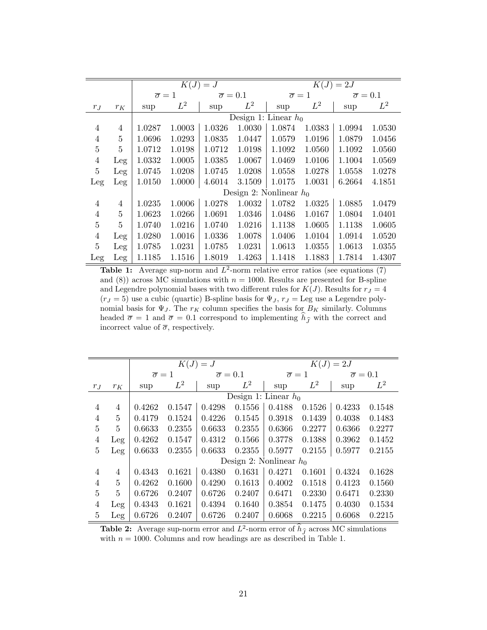|                |                |                         |        | $K(J) = J$                |                           | $K(J) = 2J$           |        |                         |        |  |
|----------------|----------------|-------------------------|--------|---------------------------|---------------------------|-----------------------|--------|-------------------------|--------|--|
|                |                | $\overline{\sigma} = 1$ |        | $\overline{\sigma} = 0.1$ |                           | $\overline{\sigma}=1$ |        | $\overline{\sigma}=0.1$ |        |  |
| $r_J$          | $r_K\;$        | sup                     | $L^2$  | sup                       | $L^2$                     | sup                   | $L^2$  | sup                     | $L^2$  |  |
|                |                |                         |        | Design 1: Linear $h_0$    |                           |                       |        |                         |        |  |
| 4              | 4              | 1.0287                  | 1.0003 | 1.0326                    | 1.0030                    | 1.0874                | 1.0383 | 1.0994                  | 1.0530 |  |
| $\overline{4}$ | 5              | 1.0696                  | 1.0293 | 1.0835                    | 1.0447                    | 1.0579                | 1.0196 | 1.0879                  | 1.0456 |  |
| $\overline{5}$ | 5              | 1.0712                  | 1.0198 | 1.0712                    | 1.0198                    | 1.1092                | 1.0560 | 1.1092                  | 1.0560 |  |
| $\overline{4}$ | Leg            | 1.0332                  | 1.0005 | 1.0385                    | 1.0067                    | 1.0469                | 1.0106 | 1.1004                  | 1.0569 |  |
| $\overline{5}$ | Leg            | 1.0745                  | 1.0208 | 1.0745                    | 1.0208                    | 1.0558                | 1.0278 | 1.0558                  | 1.0278 |  |
| Leg            | Leg            | 1.0150                  | 1.0000 | 4.6014                    | 3.1509                    | 1.0175                | 1.0031 | 6.2664                  | 4.1851 |  |
|                |                |                         |        |                           | Design 2: Nonlinear $h_0$ |                       |        |                         |        |  |
| $\overline{4}$ | 4              | 1.0235                  | 1.0006 | 1.0278                    | 1.0032                    | 1.0782                | 1.0325 | 1.0885                  | 1.0479 |  |
| $\overline{4}$ | $\overline{5}$ | 1.0623                  | 1.0266 | 1.0691                    | 1.0346                    | 1.0486                | 1.0167 | 1.0804                  | 1.0401 |  |
| $\overline{5}$ | $\overline{5}$ | 1.0740                  | 1.0216 | 1.0740                    | 1.0216                    | 1.1138                | 1.0605 | 1.1138                  | 1.0605 |  |
| $\overline{4}$ | Leg            | 1.0280                  | 1.0016 | 1.0336                    | 1.0078                    | 1.0406                | 1.0104 | 1.0914                  | 1.0520 |  |
| $\overline{5}$ | Leg            | 1.0785                  | 1.0231 | 1.0785                    | 1.0231                    | 1.0613                | 1.0355 | 1.0613                  | 1.0355 |  |
| Leg            | Leg            | 1.1185                  | 1.1516 | 1.8019                    | 1.4263                    | 1.1418                | 1.1883 | 1.7814                  | 1.4307 |  |

**Table 1:** Average sup-norm and  $L^2$ -norm relative error ratios (see equations (7) and (8)) across MC simulations with  $n = 1000$ . Results are presented for B-spline and Legendre polynomial bases with two different rules for  $K(J)$ . Results for  $r_J = 4$  $(r_J = 5)$  use a cubic (quartic) B-spline basis for  $\Psi_J$ ,  $r_J =$  Leg use a Legendre polynomial basis for  $\Psi_J$ . The  $r_K$  column specifies the basis for  $B_K$  similarly. Columns headed  $\bar{\sigma} = 1$  and  $\bar{\sigma} = 0.1$  correspond to implementing  $\hat{h}_{\hat{J}}$  with the correct and incorrect value of  $\overline{\sigma}$ , respectively.

|                |                | $K(J) = \overline{J}$   |        |                           |        | $K(J) = 2J$               |        |                           |        |  |
|----------------|----------------|-------------------------|--------|---------------------------|--------|---------------------------|--------|---------------------------|--------|--|
|                |                | $\overline{\sigma} = 1$ |        | $\overline{\sigma} = 0.1$ |        | $\overline{\sigma}=1$     |        | $\overline{\sigma} = 0.1$ |        |  |
| $r_J$          | $r_K$          | sup                     | $L^2$  | sup                       | $L^2$  | sup                       | $L^2$  | sup                       | $L^2$  |  |
|                |                | Design 1: Linear $h_0$  |        |                           |        |                           |        |                           |        |  |
| $\overline{4}$ | 4              | 0.4262                  | 0.1547 | 0.4298                    | 0.1556 | 0.4188                    | 0.1526 | 0.4233                    | 0.1548 |  |
| $\overline{4}$ | 5              | 0.4179                  | 0.1524 | 0.4226                    | 0.1545 | 0.3918                    | 0.1439 | 0.4038                    | 0.1483 |  |
| $\overline{5}$ | 5              | 0.6633                  | 0.2355 | 0.6633                    | 0.2355 | 0.6366                    | 0.2277 | 0.6366                    | 0.2277 |  |
| $\overline{4}$ | Leg            | 0.4262                  | 0.1547 | 0.4312                    | 0.1566 | 0.3778                    | 0.1388 | 0.3962                    | 0.1452 |  |
| $\overline{5}$ | Leg            | 0.6633                  | 0.2355 | 0.6633                    | 0.2355 | 0.5977                    | 0.2155 | 0.5977                    | 0.2155 |  |
|                |                |                         |        |                           |        | Design 2: Nonlinear $h_0$ |        |                           |        |  |
| $\overline{4}$ | 4              | 0.4343                  | 0.1621 | 0.4380                    | 0.1631 | 0.4271                    | 0.1601 | 0.4324                    | 0.1628 |  |
| $\overline{4}$ | $\overline{5}$ | 0.4262                  | 0.1600 | 0.4290                    | 0.1613 | 0.4002                    | 0.1518 | 0.4123                    | 0.1560 |  |
| $\overline{5}$ | 5              | 0.6726                  | 0.2407 | 0.6726                    | 0.2407 | 0.6471                    | 0.2330 | 0.6471                    | 0.2330 |  |
| $\overline{4}$ | Leg            | 0.4343                  | 0.1621 | 0.4394                    | 0.1640 | 0.3854                    | 0.1475 | 0.4030                    | 0.1534 |  |
| $\overline{5}$ | Leg            | 0.6726                  | 0.2407 | 0.6726                    | 0.2407 | 0.6068                    | 0.2215 | 0.6068                    | 0.2215 |  |

**Table 2:** Average sup-norm error and  $L^2$ -norm error of  $\hat{h}_{\hat{J}}$  across MC simulations with  $n = 1000$ . Columns and row headings are as described in Table 1.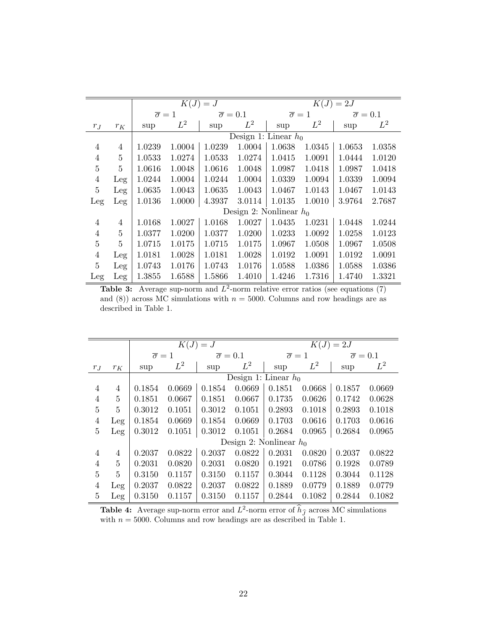|                |       | $K(J) = J$            |        |                           |        | $K(J) = 2J$               |        |                         |        |  |
|----------------|-------|-----------------------|--------|---------------------------|--------|---------------------------|--------|-------------------------|--------|--|
|                |       | $\overline{\sigma}=1$ |        | $\overline{\sigma} = 0.1$ |        | $\overline{\sigma}=1$     |        | $\overline{\sigma}=0.1$ |        |  |
| $r_J$          | $r_K$ | sup                   | $L^2$  | sup                       | $L^2$  | sup                       | $L^2$  | sup                     | $L^2$  |  |
|                |       |                       |        | Design 1: Linear $h_0$    |        |                           |        |                         |        |  |
| 4              | 4     | 1.0239                | 1.0004 | 1.0239                    | 1.0004 | 1.0638                    | 1.0345 | 1.0653                  | 1.0358 |  |
| 4              | 5     | 1.0533                | 1.0274 | 1.0533                    | 1.0274 | 1.0415                    | 1.0091 | 1.0444                  | 1.0120 |  |
| $\overline{5}$ | 5     | 1.0616                | 1.0048 | 1.0616                    | 1.0048 | 1.0987                    | 1.0418 | 1.0987                  | 1.0418 |  |
| $\overline{4}$ | Leg   | 1.0244                | 1.0004 | 1.0244                    | 1.0004 | 1.0339                    | 1.0094 | 1.0339                  | 1.0094 |  |
| 5              | Leg   | 1.0635                | 1.0043 | 1.0635                    | 1.0043 | 1.0467                    | 1.0143 | 1.0467                  | 1.0143 |  |
| Leg            | Leg   | 1.0136                | 1.0000 | 4.3937                    | 3.0114 | 1.0135                    | 1.0010 | 3.9764                  | 2.7687 |  |
|                |       |                       |        |                           |        | Design 2: Nonlinear $h_0$ |        |                         |        |  |
| $\overline{4}$ | 4     | 1.0168                | 1.0027 | 1.0168                    | 1.0027 | 1.0435                    | 1.0231 | 1.0448                  | 1.0244 |  |
| $\overline{4}$ | 5     | 1.0377                | 1.0200 | 1.0377                    | 1.0200 | 1.0233                    | 1.0092 | 1.0258                  | 1.0123 |  |
| $\overline{5}$ | 5     | 1.0715                | 1.0175 | 1.0715                    | 1.0175 | 1.0967                    | 1.0508 | 1.0967                  | 1.0508 |  |
| $\overline{4}$ | Leg   | 1.0181                | 1.0028 | 1.0181                    | 1.0028 | 1.0192                    | 1.0091 | 1.0192                  | 1.0091 |  |
| $\overline{5}$ | Leg   | 1.0743                | 1.0176 | 1.0743                    | 1.0176 | 1.0588                    | 1.0386 | 1.0588                  | 1.0386 |  |
| Leg            | Leg   | 1.3855                | 1.6588 | 1.5866                    | 1.4010 | 1.4246                    | 1.7316 | 1.4740                  | 1.3321 |  |

**Table 3:** Average sup-norm and  $L^2$ -norm relative error ratios (see equations (7) and (8)) across MC simulations with  $n = 5000$ . Columns and row headings are as described in Table 1.

|                |                |                         |        | $K(J) = J$              |        | $K(J) = 2J$               |        |                           |        |  |
|----------------|----------------|-------------------------|--------|-------------------------|--------|---------------------------|--------|---------------------------|--------|--|
|                |                | $\overline{\sigma} = 1$ |        | $\overline{\sigma}=0.1$ |        | $\overline{\sigma}=1$     |        | $\overline{\sigma} = 0.1$ |        |  |
| $r_J$          | $r_K$          | sup                     | $L^2$  | sup                     | $L^2$  | sup                       | $L^2$  | sup                       | $L^2$  |  |
|                |                | Design 1: Linear $h_0$  |        |                         |        |                           |        |                           |        |  |
| 4              | 4              | 0.1854                  | 0.0669 | 0.1854                  | 0.0669 | 0.1851                    | 0.0668 | 0.1857                    | 0.0669 |  |
| $\overline{4}$ | $\overline{5}$ | 0.1851                  | 0.0667 | 0.1851                  | 0.0667 | 0.1735                    | 0.0626 | 0.1742                    | 0.0628 |  |
| 5              | $\overline{5}$ | 0.3012                  | 0.1051 | 0.3012                  | 0.1051 | 0.2893                    | 0.1018 | 0.2893                    | 0.1018 |  |
| $\overline{4}$ | Leg            | 0.1854                  | 0.0669 | 0.1854                  | 0.0669 | 0.1703                    | 0.0616 | 0.1703                    | 0.0616 |  |
| 5              | Leg            | 0.3012                  | 0.1051 | 0.3012                  | 0.1051 | 0.2684                    | 0.0965 | 0.2684                    | 0.0965 |  |
|                |                |                         |        |                         |        | Design 2: Nonlinear $h_0$ |        |                           |        |  |
| 4              | $\overline{4}$ | 0.2037                  | 0.0822 | 0.2037                  | 0.0822 | 0.2031                    | 0.0820 | 0.2037                    | 0.0822 |  |
| $\overline{4}$ | $\overline{5}$ | 0.2031                  | 0.0820 | 0.2031                  | 0.0820 | 0.1921                    | 0.0786 | 0.1928                    | 0.0789 |  |
| $\overline{5}$ | 5              | 0.3150                  | 0.1157 | 0.3150                  | 0.1157 | 0.3044                    | 0.1128 | 0.3044                    | 0.1128 |  |
| $\overline{4}$ | Leg            | 0.2037                  | 0.0822 | 0.2037                  | 0.0822 | 0.1889                    | 0.0779 | 0.1889                    | 0.0779 |  |
| $\overline{5}$ | Leg            | 0.3150                  | 0.1157 | 0.3150                  | 0.1157 | 0.2844                    | 0.1082 | 0.2844                    | 0.1082 |  |

**Table 4:** Average sup-norm error and  $L^2$ -norm error of  $\hat{h}_{\hat{J}}$  across MC simulations with  $n = 5000$ . Columns and row headings are as described in Table 1.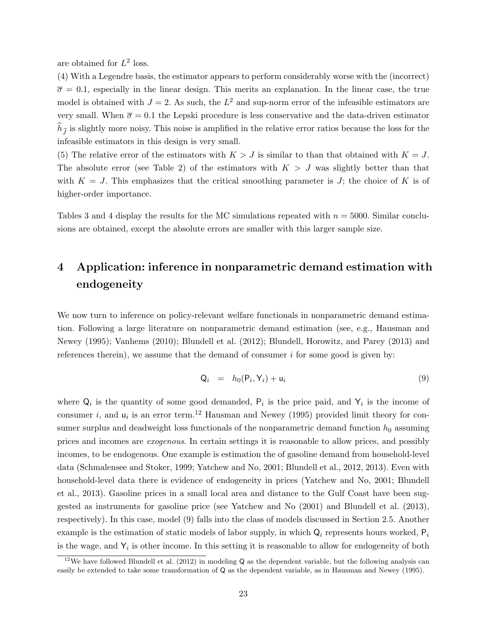are obtained for  $L^2$  loss.

(4) With a Legendre basis, the estimator appears to perform considerably worse with the (incorrect)  $\overline{\sigma} = 0.1$ , especially in the linear design. This merits an explanation. In the linear case, the true model is obtained with  $J = 2$ . As such, the  $L^2$  and sup-norm error of the infeasible estimators are very small. When  $\bar{\sigma} = 0.1$  the Lepski procedure is less conservative and the data-driven estimator  $h_{\hat{\tau}}$  is slightly more noisy. This noise is amplified in the relative error ratios because the loss for the infeasible estimators in this design is very small.

(5) The relative error of the estimators with  $K > J$  is similar to than that obtained with  $K = J$ . The absolute error (see Table 2) of the estimators with  $K > J$  was slightly better than that with  $K = J$ . This emphasizes that the critical smoothing parameter is J; the choice of K is of higher-order importance.

Tables 3 and 4 display the results for the MC simulations repeated with  $n = 5000$ . Similar conclusions are obtained, except the absolute errors are smaller with this larger sample size.

# 4 Application: inference in nonparametric demand estimation with endogeneity

We now turn to inference on policy-relevant welfare functionals in nonparametric demand estimation. Following a large literature on nonparametric demand estimation (see, e.g., Hausman and Newey (1995); Vanhems (2010); Blundell et al. (2012); Blundell, Horowitz, and Parey (2013) and references therein), we assume that the demand of consumer  $i$  for some good is given by:

$$
Q_i = h_0(P_i, Y_i) + u_i \tag{9}
$$

where  $Q_i$  is the quantity of some good demanded,  $P_i$  is the price paid, and  $Y_i$  is the income of consumer *i*, and  $u_i$  is an error term.<sup>12</sup> Hausman and Newey (1995) provided limit theory for consumer surplus and deadweight loss functionals of the nonparametric demand function  $h_0$  assuming prices and incomes are exogenous. In certain settings it is reasonable to allow prices, and possibly incomes, to be endogenous. One example is estimation the of gasoline demand from household-level data (Schmalensee and Stoker, 1999; Yatchew and No, 2001; Blundell et al., 2012, 2013). Even with household-level data there is evidence of endogeneity in prices (Yatchew and No, 2001; Blundell et al., 2013). Gasoline prices in a small local area and distance to the Gulf Coast have been suggested as instruments for gasoline price (see Yatchew and No (2001) and Blundell et al. (2013), respectively). In this case, model (9) falls into the class of models discussed in Section 2.5. Another example is the estimation of static models of labor supply, in which  $Q_i$  represents hours worked,  $P_i$ is the wage, and  $Y_i$  is other income. In this setting it is reasonable to allow for endogeneity of both

<sup>&</sup>lt;sup>12</sup>We have followed Blundell et al. (2012) in modeling Q as the dependent variable, but the following analysis can easily be extended to take some transformation of Q as the dependent variable, as in Hausman and Newey (1995).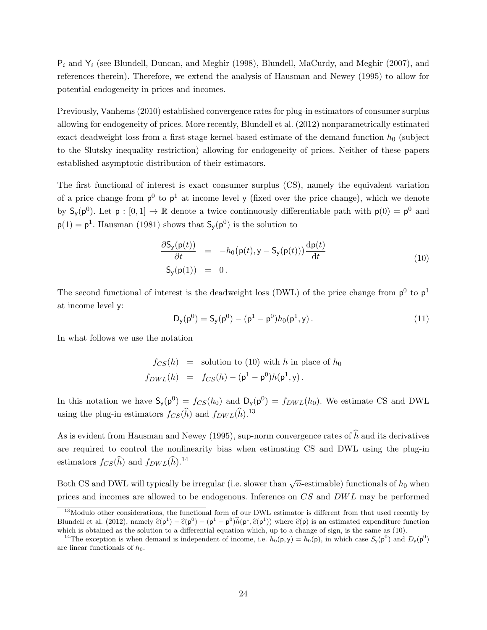$P_i$  and  $Y_i$  (see Blundell, Duncan, and Meghir (1998), Blundell, MaCurdy, and Meghir (2007), and references therein). Therefore, we extend the analysis of Hausman and Newey (1995) to allow for potential endogeneity in prices and incomes.

Previously, Vanhems (2010) established convergence rates for plug-in estimators of consumer surplus allowing for endogeneity of prices. More recently, Blundell et al. (2012) nonparametrically estimated exact deadweight loss from a first-stage kernel-based estimate of the demand function  $h_0$  (subject to the Slutsky inequality restriction) allowing for endogeneity of prices. Neither of these papers established asymptotic distribution of their estimators.

The first functional of interest is exact consumer surplus (CS), namely the equivalent variation of a price change from  $p^0$  to  $p^1$  at income level y (fixed over the price change), which we denote by  $S_y(p^0)$ . Let  $p: [0,1] \to \mathbb{R}$  denote a twice continuously differentiable path with  $p(0) = p^0$  and  $p(1) = p<sup>1</sup>$ . Hausman (1981) shows that  $S_y(p<sup>0</sup>)$  is the solution to

$$
\frac{\partial \mathsf{S}_{\mathsf{y}}(\mathsf{p}(t))}{\partial t} = -h_0(\mathsf{p}(t), \mathsf{y} - \mathsf{S}_{\mathsf{y}}(\mathsf{p}(t))) \frac{\mathrm{d}\mathsf{p}(t)}{\mathrm{d}t}
$$
\n
$$
\mathsf{S}_{\mathsf{y}}(\mathsf{p}(1)) = 0. \tag{10}
$$

The second functional of interest is the deadweight loss (DWL) of the price change from  $p^0$  to  $p^1$ at income level y:

$$
D_{y}(p^{0}) = S_{y}(p^{0}) - (p^{1} - p^{0})h_{0}(p^{1}, y).
$$
\n(11)

In what follows we use the notation

$$
f_{CS}(h) = \text{ solution to (10) with } h \text{ in place of } h_0
$$
  

$$
f_{DWL}(h) = f_{CS}(h) - (\mathbf{p}^1 - \mathbf{p}^0)h(\mathbf{p}^1, \mathbf{y}).
$$

In this notation we have  $S_y(p^0) = f_{CS}(h_0)$  and  $D_y(p^0) = f_{DWL}(h_0)$ . We estimate CS and DWL using the plug-in estimators  $f_{CS}(\widehat{h})$  and  $f_{DWL}(\widehat{h})$ .<sup>13</sup>

As is evident from Hausman and Newey (1995), sup-norm convergence rates of  $\hat{h}$  and its derivatives are required to control the nonlinearity bias when estimating CS and DWL using the plug-in estimators  $f_{CS}(\widehat{h})$  and  $f_{DWL}(\widehat{h})$ .<sup>14</sup>

Both CS and DWL will typically be irregular (i.e. slower than  $\sqrt{n}$ -estimable) functionals of  $h_0$  when prices and incomes are allowed to be endogenous. Inference on CS and DWL may be performed

<sup>&</sup>lt;sup>13</sup>Modulo other considerations, the functional form of our DWL estimator is different from that used recently by Blundell et al. (2012), namely  $\hat{e}(\mathbf{p}^1) - \hat{e}(\mathbf{p}^0) - (\mathbf{p}^1 - \mathbf{p}^0)\hat{h}(\mathbf{p}^1, \hat{e}(\mathbf{p}^1))$  where  $\hat{e}(\mathbf{p})$  is an estimated expenditure function which is obtained as the solution to a differential equ which is obtained as the solution to a differential equation which, up to a change of sign, is the same as (10).

<sup>&</sup>lt;sup>14</sup>The exception is when demand is independent of income, i.e.  $h_0(p, y) = h_0(p)$ , in which case  $S_y(p^0)$  and  $D_y(p^0)$ are linear functionals of  $h_0$ .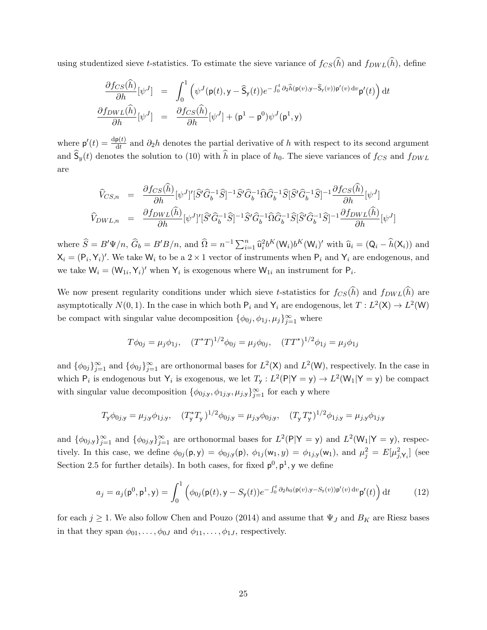using studentized sieve t-statistics. To estimate the sieve variance of  $f_{CS}(\widehat{h})$  and  $f_{DWL}(\widehat{h})$ , define

$$
\frac{\partial f_{CS}(\widehat{h})}{\partial h}[\psi^J] = \int_0^1 (\psi^J(\mathbf{p}(t), \mathbf{y} - \widehat{\mathbf{S}}_{\mathbf{y}}(t))e^{-\int_0^t \partial_2 \widehat{h}(\mathbf{p}(v), \mathbf{y} - \widehat{\mathbf{S}}_{\mathbf{y}}(v))\mathbf{p}'(v) dv} \mathbf{p}'(t)) dt
$$
  

$$
\frac{\partial f_{DWL}(\widehat{h})}{\partial h}[\psi^J] = \frac{\partial f_{CS}(\widehat{h})}{\partial h}[\psi^J] + (\mathbf{p}^1 - \mathbf{p}^0)\psi^J(\mathbf{p}^1, \mathbf{y})
$$

where  $p'(t) = \frac{dp(t)}{dt}$  and  $\partial_2 h$  denotes the partial derivative of h with respect to its second argument and  $\hat{\mathsf{S}}_y(t)$  denotes the solution to (10) with  $\hat{h}$  in place of  $h_0$ . The sieve variances of  $f_{CS}$  and  $f_{DWL}$ are

$$
\begin{split}\n\widehat{V}_{CS,n} &= \frac{\partial f_{CS}(\widehat{h})}{\partial h} [\psi^J]' [\widehat{S}' \widehat{G}_b^{-1} \widehat{S}]^{-1} \widehat{S}' \widehat{G}_b^{-1} \widehat{\Omega} \widehat{G}_b^{-1} \widehat{S} [\widehat{S}' \widehat{G}_b^{-1} \widehat{S}]^{-1} \frac{\partial f_{CS}(\widehat{h})}{\partial h} [\psi^J] \\
\widehat{V}_{DWL,n} &= \frac{\partial f_{DWL}(\widehat{h})}{\partial h} [\psi^J]' [\widehat{S}' \widehat{G}_b^{-1} \widehat{S}]^{-1} \widehat{S}' \widehat{G}_b^{-1} \widehat{\Omega} \widehat{G}_b^{-1} \widehat{S} [\widehat{S}' \widehat{G}_b^{-1} \widehat{S}]^{-1} \frac{\partial f_{DWL}(\widehat{h})}{\partial h} [\psi^J]\n\end{split}
$$

where  $\hat{S} = B'\Psi/n$ ,  $\hat{G}_b = B'B/n$ , and  $\hat{\Omega} = n^{-1} \sum_{i=1}^n \hat{u}_i^2 b^K(W_i) b^K(W_i)'$  with  $\hat{u}_i = (Q_i - \hat{h}(X_i))$  and  $X_i = (P_i, Y_i)'$ . We take  $W_i$  to be a 2 × 1 vector of instruments when  $P_i$  and  $Y_i$  are endogenous, and we take  $W_i = (W_{1i}, Y_i)'$  when  $Y_i$  is exogenous where  $W_{1i}$  an instrument for  $P_i$ .

We now present regularity conditions under which sieve t-statistics for  $f_{CS}(\widehat{h})$  and  $f_{DWL}(\widehat{h})$  are asymptotically  $N(0, 1)$ . In the case in which both  $P_i$  and  $Y_i$  are endogenous, let  $T: L^2(\mathsf{X}) \to L^2(\mathsf{W})$ be compact with singular value decomposition  $\{\phi_{0j}, \phi_{1j}, \mu_j\}_{j=1}^{\infty}$  where

$$
T\phi_{0j} = \mu_j \phi_{1j}, \quad (T^*T)^{1/2}\phi_{0j} = \mu_j \phi_{0j}, \quad (TT^*)^{1/2}\phi_{1j} = \mu_j \phi_{1j}
$$

and  $\{\phi_{0j}\}_{j=1}^{\infty}$  and  $\{\phi_{0j}\}_{j=1}^{\infty}$  are orthonormal bases for  $L^2(\mathsf{X})$  and  $L^2(\mathsf{W})$ , respectively. In the case in which  $P_i$  is endogenous but  $Y_i$  is exogenous, we let  $T_y: L^2(P|Y=y) \to L^2(W_1|Y=y)$  be compact with singular value decomposition  $\{\phi_{0j,y}, \phi_{1j,y}, \mu_{j,y}\}_{j=1}^{\infty}$  for each y where

$$
T_{\mathsf{y}}\phi_{0j,\mathsf{y}} = \mu_{j,\mathsf{y}}\phi_{1j,\mathsf{y}}, \quad (T_{\mathsf{y}}^*T_{\mathsf{y}})^{1/2}\phi_{0j,\mathsf{y}} = \mu_{j,\mathsf{y}}\phi_{0j,\mathsf{y}}, \quad (T_{\mathsf{y}}T_{\mathsf{y}}^*)^{1/2}\phi_{1j,\mathsf{y}} = \mu_{j,\mathsf{y}}\phi_{1j,\mathsf{y}}
$$

and  $\{\phi_{0j,y}\}_{j=1}^{\infty}$  and  $\{\phi_{0j,y}\}_{j=1}^{\infty}$  are orthonormal bases for  $L^2(\mathsf{P}|\mathsf{Y}=\mathsf{y})$  and  $L^2(\mathsf{W}_1|\mathsf{Y}=\mathsf{y})$ , respectively. In this case, we define  $\phi_{0j}(\mathsf{p}, \mathsf{y}) = \phi_{0j, \mathsf{y}}(\mathsf{p}), \phi_{1j}(\mathsf{w}_1, y) = \phi_{1j, \mathsf{y}}(\mathsf{w}_1),$  and  $\mu_j^2 = E[\mu_{j, \mathsf{Y}_i}^2]$  (see Section 2.5 for further details). In both cases, for fixed  $p^0$ ,  $p^1$ , y we define

$$
a_j = a_j(\mathbf{p}^0, \mathbf{p}^1, \mathbf{y}) = \int_0^1 \left( \phi_{0j}(\mathbf{p}(t), \mathbf{y} - S_{\mathbf{y}}(t)) e^{-\int_0^t \partial_2 h_0(\mathbf{p}(v), \mathbf{y} - S_{\mathbf{y}}(v)) \mathbf{p}'(v) dv} \mathbf{p}'(t) \right) dt \tag{12}
$$

for each  $j \geq 1$ . We also follow Chen and Pouzo (2014) and assume that  $\Psi_J$  and  $B_K$  are Riesz bases in that they span  $\phi_{01}, \ldots, \phi_{0J}$  and  $\phi_{11}, \ldots, \phi_{1J}$ , respectively.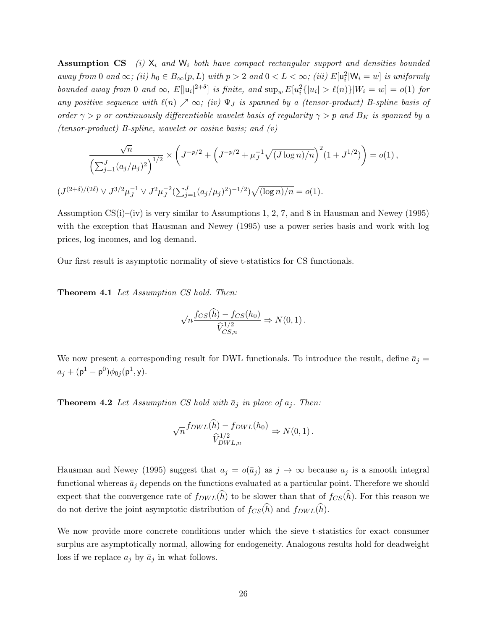**Assumption CS** (i)  $X_i$  and  $W_i$  both have compact rectangular support and densities bounded away from 0 and  $\infty$ ; (ii)  $h_0 \in B_{\infty}(p, L)$  with  $p > 2$  and  $0 < L < \infty$ ; (iii)  $E[\mathsf{u}_i^2 | \mathsf{W}_i = w]$  is uniformly bounded away from 0 and  $\infty$ ,  $E[|u_i|^{2+\delta}]$  is finite, and  $\sup_w E[u_i^2\{|u_i| > \ell(n)\}|W_i = w] = o(1)$  for any positive sequence with  $\ell(n) \nearrow \infty$ ; (iv)  $\Psi_J$  is spanned by a (tensor-product) B-spline basis of order  $\gamma > p$  or continuously differentiable wavelet basis of regularity  $\gamma > p$  and  $B_K$  is spanned by a (tensor-product) B-spline, wavelet or cosine basis; and  $(v)$ 

$$
\frac{\sqrt{n}}{\left(\sum_{j=1}^J (a_j/\mu_j)^2\right)^{1/2}} \times \left(J^{-p/2} + \left(J^{-p/2} + \mu_J^{-1} \sqrt{(J \log n)/n}\right)^2 (1+J^{1/2})\right) = o(1),
$$
  

$$
(J^{(2+\delta)/(2\delta)} \vee J^{3/2} \mu_J^{-1} \vee J^2 \mu_J^{-2} (\sum_{j=1}^J (a_j/\mu_j)^2)^{-1/2}) \sqrt{(\log n)/n} = o(1).
$$

Assumption  $CS(i)$ –(iv) is very similar to Assumptions 1, 2, 7, and 8 in Hausman and Newey (1995) with the exception that Hausman and Newey (1995) use a power series basis and work with log prices, log incomes, and log demand.

Our first result is asymptotic normality of sieve t-statistics for CS functionals.

Theorem 4.1 Let Assumption CS hold. Then:

$$
\sqrt{n} \frac{f_{CS}(\widehat{h}) - f_{CS}(h_0)}{\widehat{V}_{CS,n}^{1/2}} \Rightarrow N(0,1).
$$

We now present a corresponding result for DWL functionals. To introduce the result, define  $\bar{a}_j =$  $a_j + (\mathsf{p}^1 - \mathsf{p}^0)\phi_{0j}(\mathsf{p}^1, \mathsf{y}).$ 

**Theorem 4.2** Let Assumption CS hold with  $\bar{a}_j$  in place of  $a_j$ . Then:

$$
\sqrt{n} \frac{f_{DWL}(\hat{h}) - f_{DWL}(h_0)}{\hat{V}_{DWL,n}^{1/2}} \Rightarrow N(0,1).
$$

Hausman and Newey (1995) suggest that  $a_j = o(\bar{a}_j)$  as  $j \to \infty$  because  $a_j$  is a smooth integral functional whereas  $\bar{a}_j$  depends on the functions evaluated at a particular point. Therefore we should expect that the convergence rate of  $f_{DWL}(\widehat{h})$  to be slower than that of  $f_{CS}(\widehat{h})$ . For this reason we do not derive the joint asymptotic distribution of  $f_{CS}(\widehat{h})$  and  $f_{DWL}(\widehat{h})$ .

We now provide more concrete conditions under which the sieve t-statistics for exact consumer surplus are asymptotically normal, allowing for endogeneity. Analogous results hold for deadweight loss if we replace  $a_j$  by  $\bar{a}_j$  in what follows.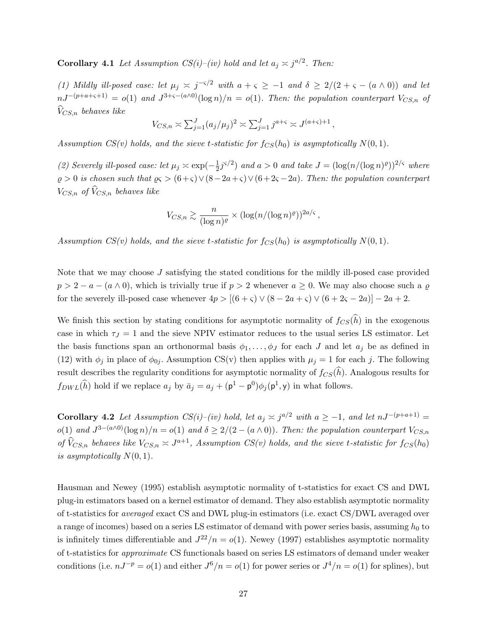**Corollary 4.1** Let Assumption  $CS(i)$ –(iv) hold and let  $a_j \n\asymp j^{a/2}$ . Then:

(1) Mildly ill-posed case: let  $\mu_j \leq j^{-\varsigma/2}$  with  $a + \varsigma \geq -1$  and  $\delta \geq 2/(2 + \varsigma - (a \wedge 0))$  and let  $nJ^{-(p+a+\varsigma+1)} = o(1)$  and  $J^{3+\varsigma-(a\wedge 0)}(\log n)/n = o(1)$ . Then: the population counterpart  $V_{CS,n}$  of  $\widehat{V}_{CS,n}$  behaves like

$$
V_{CS,n} \simeq \sum_{j=1}^{J} (a_j/\mu_j)^2 \simeq \sum_{j=1}^{J} j^{a+\varsigma} \simeq J^{(a+\varsigma)+1},
$$

Assumption  $CS(v)$  holds, and the sieve t-statistic for  $f_{CS}(h_0)$  is asymptotically  $N(0, 1)$ .

(2) Severely ill-posed case: let  $\mu_j \asymp \exp(-\frac{1}{2})$  $\frac{1}{2}j^{\varsigma/2}$  and  $a > 0$  and take  $J = (\log(n/(\log n)^{\varrho}))^{2/\varsigma}$  where  $\varrho > 0$  is chosen such that  $\varrho \leq (6+\varsigma) \vee (8-2a+\varsigma) \vee (6+2\varsigma-2a)$ . Then: the population counterpart  $V_{CS,n}$  of  $\hat{V}_{CS,n}$  behaves like

$$
V_{CS,n} \gtrsim \frac{n}{(\log n)^{\varrho}} \times (\log(n/(\log n)^{\varrho}))^{2a/\varsigma},
$$

Assumption  $CS(v)$  holds, and the sieve t-statistic for  $f_{CS}(h_0)$  is asymptotically  $N(0, 1)$ .

Note that we may choose J satisfying the stated conditions for the mildly ill-posed case provided  $p > 2 - a - (a \wedge 0)$ , which is trivially true if  $p > 2$  whenever  $a \ge 0$ . We may also choose such a  $\varrho$ for the severely ill-posed case whenever  $4p > [(6 + \varsigma) \vee (8 - 2a + \varsigma) \vee (6 + 2\varsigma - 2a)] - 2a + 2$ .

We finish this section by stating conditions for asymptotic normality of  $f_{CS}(\widehat{h})$  in the exogenous case in which  $\tau_J = 1$  and the sieve NPIV estimator reduces to the usual series LS estimator. Let the basis functions span an orthonormal basis  $\phi_1, \ldots, \phi_J$  for each J and let  $a_j$  be as defined in (12) with  $\phi_j$  in place of  $\phi_{0j}$ . Assumption CS(v) then applies with  $\mu_j = 1$  for each j. The following result describes the regularity conditions for asymptotic normality of  $f_{CS}(\hat{h})$ . Analogous results for  $f_{DWL}(\hat{h})$  hold if we replace  $a_j$  by  $\bar{a}_j = a_j + (\mathsf{p}^1 - \mathsf{p}^0)\phi_j(\mathsf{p}^1, \mathsf{y})$  in what follows.

**Corollary 4.2** Let Assumption CS(i)–(iv) hold, let  $a_j \approx j^{a/2}$  with  $a \geq -1$ , and let  $nJ^{-(p+a+1)} =$  $o(1)$  and  $J^{3-(a\wedge 0)}(\log n)/n = o(1)$  and  $\delta \geq 2/(2-(a\wedge 0))$ . Then: the population counterpart  $V_{CS,n}$ of  $\hat{V}_{CS,n}$  behaves like  $V_{CS,n} \approx J^{a+1}$ , Assumption  $CS(v)$  holds, and the sieve t-statistic for  $f_{CS}(h_0)$ is asymptotically  $N(0, 1)$ .

Hausman and Newey (1995) establish asymptotic normality of t-statistics for exact CS and DWL plug-in estimators based on a kernel estimator of demand. They also establish asymptotic normality of t-statistics for averaged exact CS and DWL plug-in estimators (i.e. exact CS/DWL averaged over a range of incomes) based on a series LS estimator of demand with power series basis, assuming  $h_0$  to is infinitely times differentiable and  $J^{22}/n = o(1)$ . Newey (1997) establishes asymptotic normality of t-statistics for approximate CS functionals based on series LS estimators of demand under weaker conditions (i.e.  $nJ^{-p} = o(1)$  and either  $J^6/n = o(1)$  for power series or  $J^4/n = o(1)$  for splines), but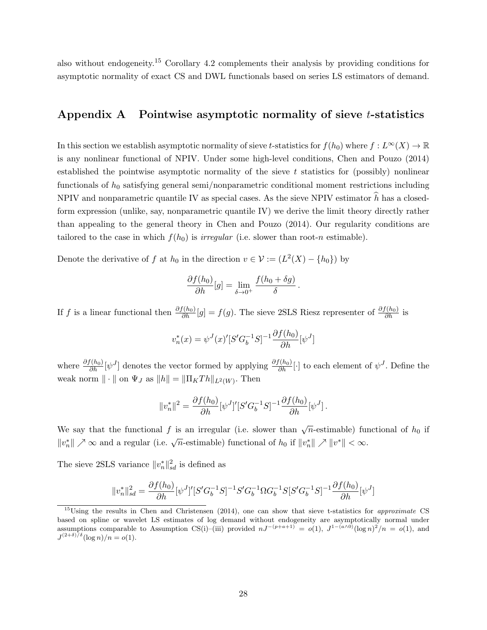also without endogeneity.<sup>15</sup> Corollary 4.2 complements their analysis by providing conditions for asymptotic normality of exact CS and DWL functionals based on series LS estimators of demand.

### Appendix A Pointwise asymptotic normality of sieve *t*-statistics

In this section we establish asymptotic normality of sieve t-statistics for  $f(h_0)$  where  $f: L^{\infty}(X) \to \mathbb{R}$ is any nonlinear functional of NPIV. Under some high-level conditions, Chen and Pouzo (2014) established the pointwise asymptotic normality of the sieve  $t$  statistics for (possibly) nonlinear functionals of  $h_0$  satisfying general semi/nonparametric conditional moment restrictions including NPIV and nonparametric quantile IV as special cases. As the sieve NPIV estimator  $\hat{h}$  has a closedform expression (unlike, say, nonparametric quantile IV) we derive the limit theory directly rather than appealing to the general theory in Chen and Pouzo (2014). Our regularity conditions are tailored to the case in which  $f(h_0)$  is *irregular* (i.e. slower than root-n estimable).

Denote the derivative of f at  $h_0$  in the direction  $v \in \mathcal{V} := (L^2(X) - \{h_0\})$  by

$$
\frac{\partial f(h_0)}{\partial h}[g] = \lim_{\delta \to 0^+} \frac{f(h_0 + \delta g)}{\delta}.
$$

If f is a linear functional then  $\frac{\partial f(h_0)}{\partial h}[g] = f(g)$ . The sieve 2SLS Riesz representer of  $\frac{\partial f(h_0)}{\partial h}$  is

$$
v_n^*(x) = \psi^J(x)'[S'G_b^{-1}S]^{-1} \frac{\partial f(h_0)}{\partial h}[\psi^J]
$$

where  $\frac{\partial f(h_0)}{\partial h}[\psi^J]$  denotes the vector formed by applying  $\frac{\partial f(h_0)}{\partial h}[\cdot]$  to each element of  $\psi^J$ . Define the weak norm  $\|\cdot\|$  on  $\Psi_J$  as  $\|h\| = \|\Pi_K Th\|_{L^2(W)}$ . Then

$$
||v_n^*||^2 = \frac{\partial f(h_0)}{\partial h} [\psi^J]' [S'G_b^{-1}S]^{-1} \frac{\partial f(h_0)}{\partial h} [\psi^J].
$$

We say that the functional f is an irregular (i.e. slower than  $\sqrt{n}$ -estimable) functional of  $h_0$  if  $||v_n^*|| \nearrow \infty$  and a regular (i.e.  $\sqrt{n}$ -estimable) functional of  $h_0$  if  $||v_n^*|| \nearrow ||v^*|| < \infty$ .

The sieve 2SLS variance  $||v_n^*||_{sd}^2$  is defined as

$$
||v_n^*||_{sd}^2 = \frac{\partial f(h_0)}{\partial h} [\psi^J]' [S'G_b^{-1}S]^{-1} S'G_b^{-1} \Omega G_b^{-1} S [S'G_b^{-1}S]^{-1} \frac{\partial f(h_0)}{\partial h} [\psi^J]
$$

 $15$ Using the results in Chen and Christensen (2014), one can show that sieve t-statistics for *approximate* CS based on spline or wavelet LS estimates of log demand without endogeneity are asymptotically normal under assumptions comparable to Assumption CS(i)–(iii) provided  $nJ^{-(p+a+1)} = o(1)$ ,  $J^{1-(a\wedge 0)}(\log n)^2/n = o(1)$ , and  $J^{(2+\delta)/\delta}(\log n)/n = o(1).$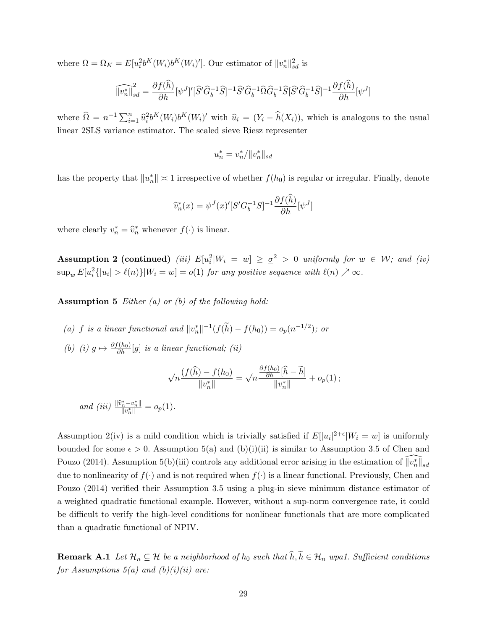where  $\Omega = \Omega_K = E[u_i^2 b^K(W_i) b^K(W_i)']$ . Our estimator of  $||v_n^*||_{sd}^2$  is

$$
\widehat{\|v_n^*\|}_{sd}^2 = \frac{\partial f(\hat{h})}{\partial h} [\psi^J]' [\widehat{S}' \widehat{G}_b^{-1} \widehat{S}]^{-1} \widehat{S}' \widehat{G}_b^{-1} \widehat{\Omega} \widehat{G}_b^{-1} \widehat{S} [\widehat{S}' \widehat{G}_b^{-1} \widehat{S}]^{-1} \frac{\partial f(\hat{h})}{\partial h} [\psi^J]
$$

where  $\widehat{\Omega} = n^{-1} \sum_{i=1}^n \widehat{u}_i^2 b^K(W_i) b^K(W_i)'$  with  $\widehat{u}_i = (Y_i - \widehat{h}(X_i))$ , which is analogous to the usual linear 2SLS variance estimator. The scaled sieve Riesz representer

$$
u_n^* = v_n^* / \|v_n^*\|_{sd}
$$

has the property that  $||u_n^*|| \approx 1$  irrespective of whether  $f(h_0)$  is regular or irregular. Finally, denote

$$
\widehat{v}_n^*(x) = \psi^J(x)'[S'G_b^{-1}S]^{-1}\frac{\partial f(\widehat{h})}{\partial h}[\psi^J]
$$

where clearly  $v_n^* = \hat{v}_n^*$  whenever  $f(\cdot)$  is linear.

**Assumption 2 (continued)** (iii)  $E[u_i^2|W_i = w] \geq \underline{\sigma}^2 > 0$  uniformly for  $w \in W$ ; and (iv)  $\sup_w E[u_i^2{\{|u_i| > \ell(n)\}|W_i = w] = o(1)$  for any positive sequence with  $\ell(n) \nearrow \infty$ .

**Assumption 5** Either  $(a)$  or  $(b)$  of the following hold:

- (a) f is a linear functional and  $||v_n^*||^{-1}(f(\tilde{h}) f(h_0)) = o_p(n^{-1/2})$ ; or
- (b) (i)  $g \mapsto \frac{\partial f(h_0)}{\partial h}[g]$  is a linear functional; (ii)

$$
\sqrt{n}\frac{(f(\widehat{h})-f(h_0)}{\|v_n^*\|}=\sqrt{n}\frac{\frac{\partial f(h_0)}{\partial h}[\widehat{h}-\widetilde{h}]}{\|v_n^*\|}+o_p(1);
$$

and (iii)  $\frac{\|\hat{v}_n^* - v_n^*\|}{\|v_n^*\|} = o_p(1)$ .

Assumption 2(iv) is a mild condition which is trivially satisfied if  $E[|u_i|^{2+\epsilon}|W_i=w]$  is uniformly bounded for some  $\epsilon > 0$ . Assumption 5(a) and (b)(i)(ii) is similar to Assumption 3.5 of Chen and Pouzo (2014). Assumption 5(b)(iii) controls any additional error arising in the estimation of  $\widehat{\|v_n^*\|}_{sd}$ due to nonlinearity of  $f(\cdot)$  and is not required when  $f(\cdot)$  is a linear functional. Previously, Chen and Pouzo (2014) verified their Assumption 3.5 using a plug-in sieve minimum distance estimator of a weighted quadratic functional example. However, without a sup-norm convergence rate, it could be difficult to verify the high-level conditions for nonlinear functionals that are more complicated than a quadratic functional of NPIV.

**Remark A.1** Let  $\mathcal{H}_n \subseteq \mathcal{H}$  be a neighborhood of  $h_0$  such that  $\widehat{h}, \widetilde{h} \in \mathcal{H}_n$  wpa1. Sufficient conditions for Assumptions  $5(a)$  and  $(b)(i)(ii)$  are: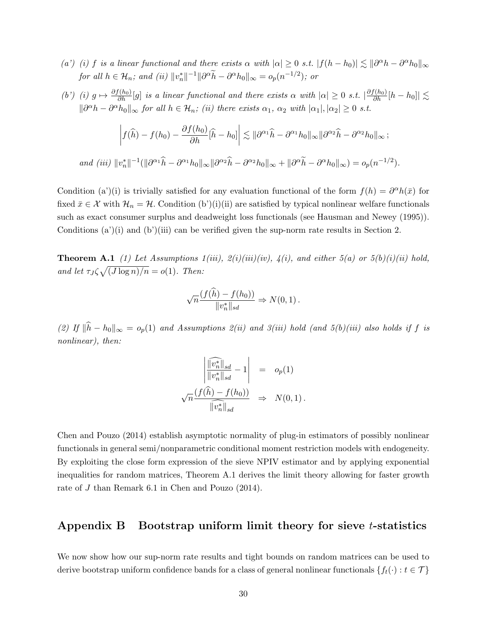- (a') (i) f is a linear functional and there exists  $\alpha$  with  $|\alpha| \geq 0$  s.t.  $|f(h-h_0)| \lesssim ||\partial^{\alpha}h \partial^{\alpha}h_0||_{\infty}$ for all  $h \in \mathcal{H}_n$ ; and (ii)  $||v_n^*||^{-1}||\partial^\alpha \tilde{h} - \partial^\alpha h_0||_\infty = o_p(n^{-1/2})$ ; or
- (b') (i)  $g \mapsto \frac{\partial f(h_0)}{\partial h}[g]$  is a linear functional and there exists  $\alpha$  with  $|\alpha| \geq 0$  s.t.  $|\frac{\partial f(h_0)}{\partial h}[h-h_0]| \lesssim$  $\|\partial^{\alpha}h - \partial^{\alpha}h_0\|_{\infty}$  for all  $h \in \mathcal{H}_n$ ; (ii) there exists  $\alpha_1$ ,  $\alpha_2$  with  $|\alpha_1|, |\alpha_2| \geq 0$  s.t.

$$
\left| f(\widehat{h}) - f(h_0) - \frac{\partial f(h_0)}{\partial h} [\widehat{h} - h_0] \right| \lesssim \| \partial^{\alpha_1} \widehat{h} - \partial^{\alpha_1} h_0 \|_{\infty} \| \partial^{\alpha_2} \widehat{h} - \partial^{\alpha_2} h_0 \|_{\infty};
$$
  
and (iii)  $||v_n^*||^{-1} (||\partial^{\alpha_1} \widehat{h} - \partial^{\alpha_1} h_0 \|_{\infty} ||\partial^{\alpha_2} \widehat{h} - \partial^{\alpha_2} h_0 \|_{\infty} + ||\partial^{\alpha} \widetilde{h} - \partial^{\alpha} h_0 \|_{\infty}) = o_p(n^{-1/2}).$ 

Condition (a')(i) is trivially satisfied for any evaluation functional of the form  $f(h) = \partial^{\alpha}h(\bar{x})$  for fixed  $\bar{x} \in \mathcal{X}$  with  $\mathcal{H}_n = \mathcal{H}$ . Condition (b')(i)(ii) are satisfied by typical nonlinear welfare functionals such as exact consumer surplus and deadweight loss functionals (see Hausman and Newey (1995)). Conditions  $(a)(i)$  and  $(b')(iii)$  can be verified given the sup-norm rate results in Section 2.

**Theorem A.1** (1) Let Assumptions  $1(iii)$ ,  $2(i)(iii)(iv)$ ,  $4(i)$ , and either  $5(a)$  or  $5(b)(i)(ii)$  hold, and let  $\tau_J \zeta \sqrt{(J \log n)/n} = o(1)$ . Then:

$$
\sqrt{n}\frac{(f(\widehat{h}) - f(h_0))}{\|v_n^*\|_{sd}} \Rightarrow N(0, 1).
$$

(2) If  $\|\widehat{h} - h_0\|_{\infty} = o_p(1)$  and Assumptions 2(ii) and 3(iii) hold (and 5(b)(iii) also holds if f is nonlinear), then:

$$
\frac{\left|\frac{\widehat{\|v_n^*\|}_{sd}}{\|v_n^*\|_{sd}}-1\right|}{\sqrt{n}\frac{(f(\widehat{h})-f(h_0))}{\|\widehat{v_n^*\|}_{sd}}}\Rightarrow \nu(0,1).
$$

Chen and Pouzo (2014) establish asymptotic normality of plug-in estimators of possibly nonlinear functionals in general semi/nonparametric conditional moment restriction models with endogeneity. By exploiting the close form expression of the sieve NPIV estimator and by applying exponential inequalities for random matrices, Theorem A.1 derives the limit theory allowing for faster growth rate of J than Remark 6.1 in Chen and Pouzo (2014).

### Appendix B Bootstrap uniform limit theory for sieve  $t$ -statistics

We now show how our sup-norm rate results and tight bounds on random matrices can be used to derive bootstrap uniform confidence bands for a class of general nonlinear functionals  $\{f_t(\cdot): t \in \mathcal{T}\}\$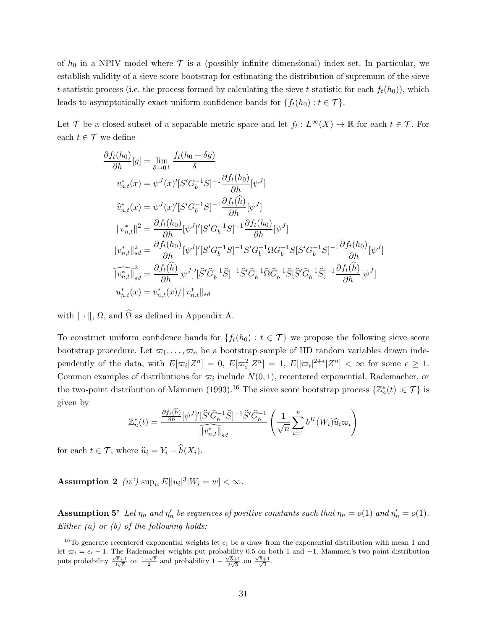of  $h_0$  in a NPIV model where  $\mathcal T$  is a (possibly infinite dimensional) index set. In particular, we establish validity of a sieve score bootstrap for estimating the distribution of supremum of the sieve t-statistic process (i.e. the process formed by calculating the sieve t-statistic for each  $f_t(h_0)$ ), which leads to asymptotically exact uniform confidence bands for  $\{f_t(h_0): t \in \mathcal{T}\}.$ 

Let T be a closed subset of a separable metric space and let  $f_t: L^\infty(X) \to \mathbb{R}$  for each  $t \in \mathcal{T}$ . For each  $t \in \mathcal{T}$  we define

$$
\frac{\partial f_t(h_0)}{\partial h}[g] = \lim_{\delta \to 0^+} \frac{f_t(h_0 + \delta g)}{\delta}
$$
  

$$
v_{n,t}^*(x) = \psi^J(x)'[S'G_b^{-1}S]^{-1} \frac{\partial f_t(h_0)}{\partial h}[\psi^J]
$$
  

$$
\hat{v}_{n,t}^*(x) = \psi^J(x)'[S'G_b^{-1}S]^{-1} \frac{\partial f_t(\hat{h})}{\partial h}[\psi^J]
$$
  

$$
||v_{n,t}^*||^2 = \frac{\partial f_t(h_0)}{\partial h}[\psi^J]'[S'G_b^{-1}S]^{-1} \frac{\partial f_t(h_0)}{\partial h}[\psi^J]
$$
  

$$
||v_{n,t}^*||_{sd}^2 = \frac{\partial f_t(h_0)}{\partial h}[\psi^J]'[S'G_b^{-1}S]^{-1}S'G_b^{-1}\Omega G_b^{-1}S[S'G_b^{-1}S]^{-1} \frac{\partial f_t(h_0)}{\partial h}[\psi^J]
$$
  

$$
\widehat{||v_{n,t}^*||}_{sd} = \frac{\partial f_t(\hat{h})}{\partial h}[\psi^J]'[\widehat{S}'\widehat{G}_b^{-1}\widehat{S}]^{-1}\widehat{S}'\widehat{G}_b^{-1}\widehat{\Omega}\widehat{G}_b^{-1}\widehat{S}[\widehat{S}'\widehat{G}_b^{-1}\widehat{S}]^{-1} \frac{\partial f_t(\hat{h})}{\partial h}[\psi^J]
$$
  

$$
u_{n,t}^*(x) = v_{n,t}^*(x)/||v_{n,t}^*||_{sd}
$$

with  $\|\cdot\|$ ,  $\Omega$ , and  $\widehat{\Omega}$  as defined in Appendix A.

To construct uniform confidence bands for  $\{f_t(h_0): t \in \mathcal{T}\}\$  we propose the following sieve score bootstrap procedure. Let  $\varpi_1, \ldots, \varpi_n$  be a bootstrap sample of IID random variables drawn independently of the data, with  $E[\varpi_i|Z^n] = 0$ ,  $E[\varpi_i^2|Z^n] = 1$ ,  $E[|\varpi_i|^{2+\epsilon}|Z^n] < \infty$  for some  $\epsilon \geq 1$ . Common examples of distributions for  $\varpi_i$  include  $N(0, 1)$ , recentered exponential, Rademacher, or the two-point distribution of Mammen (1993).<sup>16</sup> The sieve score bootstrap process  $\{\mathbb{Z}_n^*(t) : \in \mathcal{T}\}\$ is given by

$$
\mathbb{Z}_n^*(t) = \frac{\frac{\partial f_t(\widehat{h})}{\partial h} [\psi^J]' [\widehat{S}' \widehat{G}_b^{-1} \widehat{S}]^{-1} \widehat{S}' \widehat{G}_b^{-1}}{\|\widehat{v}_{n,t}^*\|_{sd}} \left(\frac{1}{\sqrt{n}} \sum_{i=1}^n b^K(W_i) \widehat{u}_i \varpi_i\right)
$$

for each  $t \in \mathcal{T}$ , where  $\widehat{u}_i = Y_i - \widehat{h}(X_i)$ .

**Assumption 2** (iv')  $\sup_w E[|u_i|^3|W_i = w] < \infty$ .

**Assumption 5'** Let  $\eta_n$  and  $\eta'_n$  be sequences of positive constants such that  $\eta_n = o(1)$  and  $\eta'_n = o(1)$ . Either (a) or (b) of the following holds:

<sup>&</sup>lt;sup>16</sup>To generate recentered exponential weights let  $e_i$  be a draw from the exponential distribution with mean 1 and let  $\overline{\omega}_i = e_i - 1$ . The Rademacher weights put probability 0.5 on both 1 and -1. Mammen's two-point distribution puts probability  $\frac{\sqrt{5}+1}{2\sqrt{5}}$  on  $\frac{1-\sqrt{5}}{2}$  and probability  $1-\frac{\sqrt{5}+1}{2\sqrt{5}}$  on  $\frac{\sqrt{5}+1}{\sqrt{2}}$ .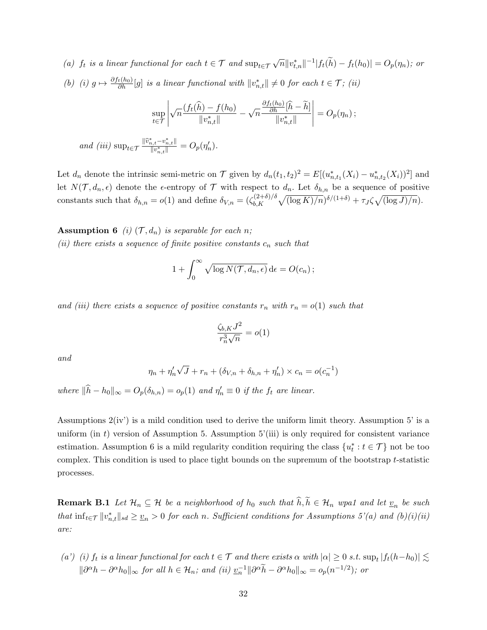(a)  $f_t$  is a linear functional for each  $t \in \mathcal{T}$  and  $\sup_{t \in \mathcal{T}} \sqrt{n} ||v_{t,n}^*||^{-1} |f_t(\tilde{h}) - f_t(h_0)| = O_p(\eta_n)$ ; or (b) (i)  $g \mapsto \frac{\partial f_t(h_0)}{\partial h}[g]$  is a linear functional with  $||v_{n,t}^*|| \neq 0$  for each  $t \in \mathcal{T}$ ; (ii)

$$
\sup_{t \in \mathcal{T}} \left| \sqrt{n} \frac{(f_t(\widehat{h}) - f(h_0))}{\|v_{n,t}^*\|} - \sqrt{n} \frac{\frac{\partial f_t(h_0)}{\partial h}[\widehat{h} - \widetilde{h}]}{\|v_{n,t}^*\|} \right| = O_p(\eta_n);
$$
  
and (iii) 
$$
\sup_{t \in \mathcal{T}} \frac{\|\widehat{v}_{n,t}^* - v_{n,t}^*\|}{\|v_{n,t}^*\|} = O_p(\eta_n').
$$

Let  $d_n$  denote the intrinsic semi-metric on  $\mathcal T$  given by  $d_n(t_1, t_2)^2 = E[(u_{n,t_1}^*(X_i) - u_{n,t_2}^*(X_i))^2]$  and let  $N(\mathcal{T}, d_n, \epsilon)$  denote the  $\epsilon$ -entropy of  $\mathcal{T}$  with respect to  $d_n$ . Let  $\delta_{h,n}$  be a sequence of positive constants such that  $\delta_{h,n} = o(1)$  and define  $\delta_{V,n} = (\zeta_{b,K}^{(2+\delta)/\delta})$  $\int_{b,K}^{(2+\delta)/\delta} \sqrt{(\log K)/n} \delta^{3/(1+\delta)} + \tau J \zeta \sqrt{(\log J)/n}).$ 

**Assumption 6** (i)  $(\mathcal{T}, d_n)$  is separable for each n; (ii) there exists a sequence of finite positive constants  $c_n$  such that

$$
1 + \int_0^\infty \sqrt{\log N(\mathcal{T}, d_n, \epsilon)} \, \mathrm{d}\epsilon = O(c_n) \, ;
$$

and (iii) there exists a sequence of positive constants  $r_n$  with  $r_n = o(1)$  such that

$$
\frac{\zeta_{b,K}J^2}{r_n^3\sqrt{n}} = o(1)
$$

and

$$
\eta_n + \eta'_n \sqrt{J} + r_n + (\delta_{V,n} + \delta_{h,n} + \eta'_n) \times c_n = o(c_n^{-1})
$$

where  $\|\widehat{h} - h_0\|_{\infty} = O_p(\delta_{h,n}) = o_p(1)$  and  $\eta'_n \equiv 0$  if the  $f_t$  are linear.

Assumptions 2(iv') is a mild condition used to derive the uniform limit theory. Assumption 5' is a uniform (in t) version of Assumption 5. Assumption  $5'$ (iii) is only required for consistent variance estimation. Assumption 6 is a mild regularity condition requiring the class  $\{u_t^* : t \in \mathcal{T}\}\)$  not be too complex. This condition is used to place tight bounds on the supremum of the bootstrap t-statistic processes.

**Remark B.1** Let  $\mathcal{H}_n \subseteq \mathcal{H}$  be a neighborhood of  $h_0$  such that  $h, h \in \mathcal{H}_n$  wpa1 and let  $\underline{v}_n$  be such that  $\inf_{t \in \mathcal{T}} ||v_{n,t}^*||_{sd} \geq v_n > 0$  for each n. Sufficient conditions for Assumptions  $5'(a)$  and  $(b)(i)(ii)$ are:

(a') (i)  $f_t$  is a linear functional for each  $t \in \mathcal{T}$  and there exists  $\alpha$  with  $|\alpha| \geq 0$  s.t.  $\sup_t |f_t(h-h_0)| \lesssim$  $\|\partial^{\alpha}h - \partial^{\alpha}h_0\|_{\infty}$  for all  $h \in \mathcal{H}_n$ ; and (ii)  $\underline{v}_n^{-1} \|\partial^{\alpha}h - \partial^{\alpha}h_0\|_{\infty} = o_p(n^{-1/2})$ ; or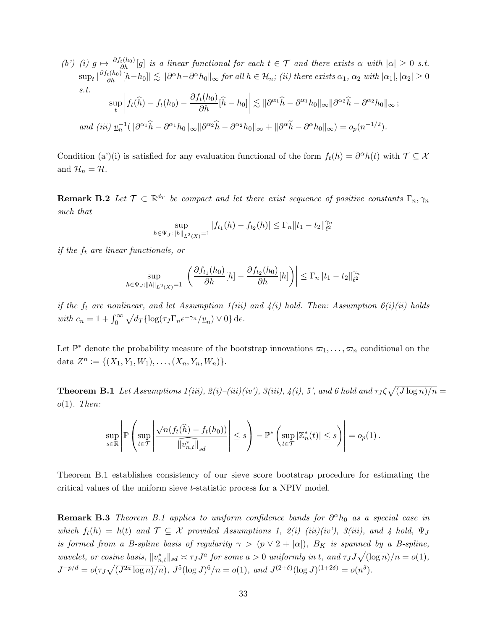(b') (i) 
$$
g \mapsto \frac{\partial f_t(h_0)}{\partial h}[g]
$$
 is a linear functional for each  $t \in \mathcal{T}$  and there exists  $\alpha$  with  $|\alpha| \ge 0$  s.t.  
\n
$$
\sup_t |\frac{\partial f_t(h_0)}{\partial h}[h - h_0]| \lesssim ||\partial^{\alpha}h - \partial^{\alpha}h_0||_{\infty} \text{ for all } h \in \mathcal{H}_n; \text{ (ii) there exists } \alpha_1, \alpha_2 \text{ with } |\alpha_1|, |\alpha_2| \ge 0
$$
\ns.t.  
\n
$$
\sup_t \left| f_t(\hat{h}) - f_t(h_0) - \frac{\partial f_t(h_0)}{\partial h}[\hat{h} - h_0] \right| \lesssim ||\partial^{\alpha_1}\hat{h} - \partial^{\alpha_1}h_0||_{\infty} ||\partial^{\alpha_2}\hat{h} - \partial^{\alpha_2}h_0||_{\infty};
$$
\nand (iii)  $\underline{v}_n^{-1}(\|\partial^{\alpha_1}\hat{h} - \partial^{\alpha_1}h_0\|_{\infty} \|\partial^{\alpha_2}\hat{h} - \partial^{\alpha_2}h_0\|_{\infty} + \|\partial^{\alpha}\tilde{h} - \partial^{\alpha}h_0\|_{\infty}) = o_p(n^{-1/2}).$ 

Condition (a')(i) is satisfied for any evaluation functional of the form  $f_t(h) = \partial^{\alpha}h(t)$  with  $\mathcal{T} \subseteq \mathcal{X}$ and  $\mathcal{H}_n = \mathcal{H}$ .

**Remark B.2** Let  $\mathcal{T} \subset \mathbb{R}^{d_T}$  be compact and let there exist sequence of positive constants  $\Gamma_n, \gamma_n$ such that

$$
\sup_{h \in \Psi_J: ||h||_{L^2(X)} = 1} |f_{t_1}(h) - f_{t_2}(h)| \le \Gamma_n ||t_1 - t_2||_{\ell^2}^{\gamma_n}
$$

if the  $f_t$  are linear functionals, or

$$
\sup_{h \in \Psi_J: ||h||_{L^2(X)}} = \left| \left( \frac{\partial f_{t_1}(h_0)}{\partial h} [h] - \frac{\partial f_{t_2}(h_0)}{\partial h} [h] \right) \right| \le \Gamma_n \|t_1 - t_2\|_{\ell^2}^{\gamma_n}
$$

if the  $f_t$  are nonlinear, and let Assumption  $1(iii)$  and  $4(i)$  hold. Then: Assumption  $6(i)(ii)$  holds with  $c_n = 1 + \int_0^\infty \sqrt{d_T \{\log(\tau_J \Gamma_n \epsilon^{-\gamma_n} / \underline{v}_n) \vee 0\}} d\epsilon$ .

Let  $\mathbb{P}^*$  denote the probability measure of the bootstrap innovations  $\varpi_1, \ldots, \varpi_n$  conditional on the data  $Z^n := \{(X_1, Y_1, W_1), \ldots, (X_n, Y_n, W_n)\}.$ 

**Theorem B.1** Let Assumptions  $1(iii)$ ,  $2(i)-(iii)(iv)$ ,  $3(iii)$ ,  $4(i)$ , 5', and 6 hold and  $\tau_J\zeta\sqrt{(J\log n)/n}$  $o(1)$ . Then:

$$
\sup_{s\in\mathbb{R}}\left|\mathbb{P}\left(\sup_{t\in\mathcal{T}}\left|\frac{\sqrt{n}(f_t(\widehat{h})-f_t(h_0))}{\|\widehat{v}_{n,t}^*\|_{sd}}\right|\leq s\right)-\mathbb{P}^*\left(\sup_{t\in\mathcal{T}}|\mathbb{Z}_n^*(t)|\leq s\right)\right|=o_p(1).
$$

Theorem B.1 establishes consistency of our sieve score bootstrap procedure for estimating the critical values of the uniform sieve t-statistic process for a NPIV model.

**Remark B.3** Theorem B.1 applies to uniform confidence bands for  $\partial^{\alpha}h_0$  as a special case in which  $f_t(h) = h(t)$  and  $\mathcal{T} \subseteq \mathcal{X}$  provided Assumptions 1,  $2(i) - (iii)(iv)$ ,  $3(iii)$ , and 4 hold,  $\Psi_J$ is formed from a B-spline basis of regularity  $\gamma > (p \vee 2 + |\alpha|)$ ,  $B_K$  is spanned by a B-spline, wavelet, or cosine basis,  $||v_{n,t}^*||_{sd} \approx \tau_J J^a$  for some  $a > 0$  uniformly in t, and  $\tau_J J \sqrt{(\log n)/n} = o(1)$ ,  $J^{-p/d} = o(\tau_J \sqrt{(J^{2a} \log n)/n}), J^5(\log J)^6/n = o(1), \text{ and } J^{(2+\delta)}(\log J)^{(1+2\delta)} = o(n^{\delta}).$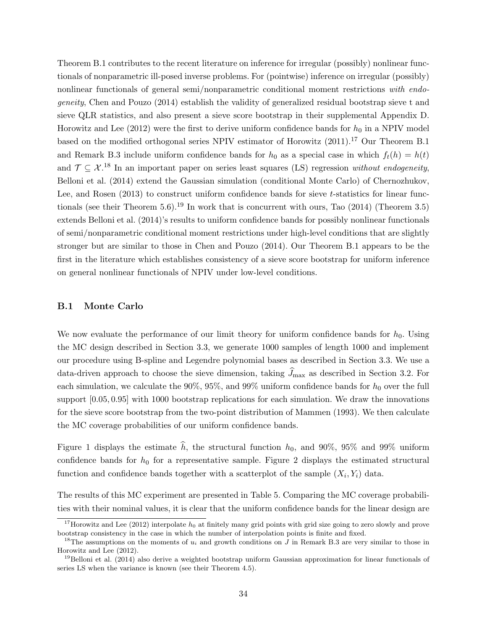Theorem B.1 contributes to the recent literature on inference for irregular (possibly) nonlinear functionals of nonparametric ill-posed inverse problems. For (pointwise) inference on irregular (possibly) nonlinear functionals of general semi/nonparametric conditional moment restrictions with endogeneity, Chen and Pouzo (2014) establish the validity of generalized residual bootstrap sieve t and sieve QLR statistics, and also present a sieve score bootstrap in their supplemental Appendix D. Horowitz and Lee (2012) were the first to derive uniform confidence bands for  $h_0$  in a NPIV model based on the modified orthogonal series NPIV estimator of Horowitz  $(2011).^{17}$  Our Theorem B.1 and Remark B.3 include uniform confidence bands for  $h_0$  as a special case in which  $f_t(h) = h(t)$ and  $\mathcal{T} \subseteq \mathcal{X}^{18}$  In an important paper on series least squares (LS) regression without endogeneity, Belloni et al. (2014) extend the Gaussian simulation (conditional Monte Carlo) of Chernozhukov, Lee, and Rosen (2013) to construct uniform confidence bands for sieve t-statistics for linear functionals (see their Theorem 5.6).<sup>19</sup> In work that is concurrent with ours, Tao  $(2014)$  (Theorem 3.5) extends Belloni et al. (2014)'s results to uniform confidence bands for possibly nonlinear functionals of semi/nonparametric conditional moment restrictions under high-level conditions that are slightly stronger but are similar to those in Chen and Pouzo (2014). Our Theorem B.1 appears to be the first in the literature which establishes consistency of a sieve score bootstrap for uniform inference on general nonlinear functionals of NPIV under low-level conditions.

#### B.1 Monte Carlo

We now evaluate the performance of our limit theory for uniform confidence bands for  $h_0$ . Using the MC design described in Section 3.3, we generate 1000 samples of length 1000 and implement our procedure using B-spline and Legendre polynomial bases as described in Section 3.3. We use a data-driven approach to choose the sieve dimension, taking  $\widehat{J}_{\text{max}}$  as described in Section 3.2. For each simulation, we calculate the 90%, 95%, and 99% uniform confidence bands for  $h_0$  over the full support [0.05, 0.95] with 1000 bootstrap replications for each simulation. We draw the innovations for the sieve score bootstrap from the two-point distribution of Mammen (1993). We then calculate the MC coverage probabilities of our uniform confidence bands.

Figure 1 displays the estimate  $\hat{h}$ , the structural function  $h_0$ , and 90%, 95% and 99% uniform confidence bands for  $h_0$  for a representative sample. Figure 2 displays the estimated structural function and confidence bands together with a scatterplot of the sample  $(X_i, Y_i)$  data.

The results of this MC experiment are presented in Table 5. Comparing the MC coverage probabilities with their nominal values, it is clear that the uniform confidence bands for the linear design are

<sup>&</sup>lt;sup>17</sup>Horowitz and Lee (2012) interpolate  $h_0$  at finitely many grid points with grid size going to zero slowly and prove bootstrap consistency in the case in which the number of interpolation points is finite and fixed.

<sup>&</sup>lt;sup>18</sup>The assumptions on the moments of  $u_i$  and growth conditions on J in Remark B.3 are very similar to those in Horowitz and Lee (2012).

<sup>&</sup>lt;sup>19</sup>Belloni et al. (2014) also derive a weighted bootstrap uniform Gaussian approximation for linear functionals of series LS when the variance is known (see their Theorem 4.5).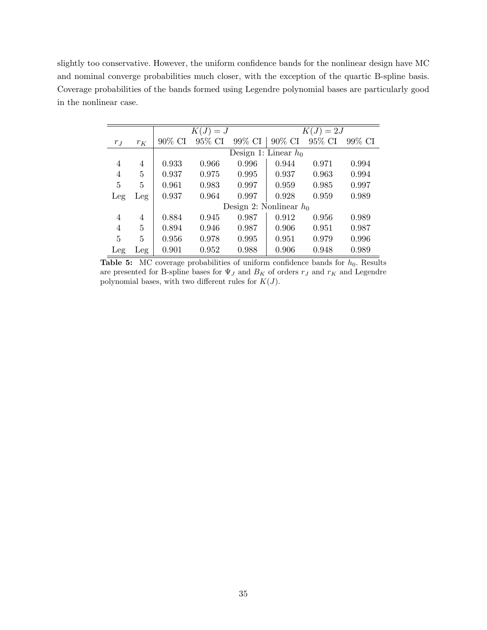slightly too conservative. However, the uniform confidence bands for the nonlinear design have MC and nominal converge probabilities much closer, with the exception of the quartic B-spline basis. Coverage probabilities of the bands formed using Legendre polynomial bases are particularly good in the nonlinear case.

|         |       |        | $K(J) = J$ |        | $K(J) = 2J$               |           |        |  |
|---------|-------|--------|------------|--------|---------------------------|-----------|--------|--|
| $r_{J}$ | $r_K$ | 90% CI | 95% CI     | 99% CI | 90% CI                    | $95\%$ CI | 99% CI |  |
|         |       |        |            |        | Design 1: Linear $h_0$    |           |        |  |
| 4       | 4     | 0.933  | 0.966      | 0.996  | 0.944                     | 0.971     | 0.994  |  |
| 4       | 5     | 0.937  | 0.975      | 0.995  | 0.937                     | 0.963     | 0.994  |  |
| 5       | 5     | 0.961  | 0.983      | 0.997  | 0.959                     | 0.985     | 0.997  |  |
| Leg     | Leg   | 0.937  | 0.964      | 0.997  | 0.928                     | 0.959     | 0.989  |  |
|         |       |        |            |        | Design 2: Nonlinear $h_0$ |           |        |  |
| 4       | 4     | 0.884  | 0.945      | 0.987  | 0.912                     | 0.956     | 0.989  |  |
| 4       | 5     | 0.894  | 0.946      | 0.987  | 0.906                     | 0.951     | 0.987  |  |
| 5       | 5     | 0.956  | 0.978      | 0.995  | 0.951                     | 0.979     | 0.996  |  |
| Leg     | Leg   | 0.901  | 0.952      | 0.988  | 0.906                     | 0.948     | 0.989  |  |

**Table 5:** MC coverage probabilities of uniform confidence bands for  $h_0$ . Results are presented for B-spline bases for  $\Psi_J$  and  $B_K$  of orders  $r_J$  and  $r_K$  and Legendre polynomial bases, with two different rules for  $K(J)$ .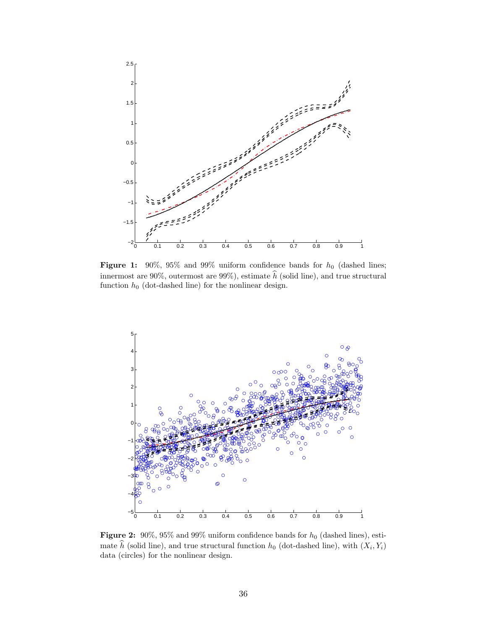

Figure 1: 90%, 95% and 99% uniform confidence bands for  $h_0$  (dashed lines; innermost are 90%, outermost are 99%), estimate  $\hat{h}$  (solid line), and true structural function  $h_0$  (dot-dashed line) for the nonlinear design.



Figure 2:  $90\%$ ,  $95\%$  and  $99\%$  uniform confidence bands for  $h_0$  (dashed lines), estimate h (solid line), and true structural function  $h_0$  (dot-dashed line), with  $(X_i, Y_i)$ data (circles) for the nonlinear design.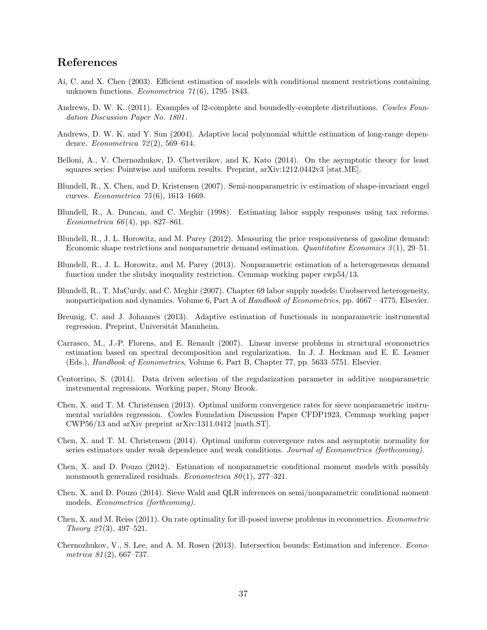### References

- Ai, C. and X. Chen (2003). Efficient estimation of models with conditional moment restrictions containing unknown functions. Econometrica  $71(6)$ , 1795–1843.
- Andrews, D. W. K. (2011). Examples of 12-complete and boundedly-complete distributions. Cowles Foundation Discussion Paper No. 1801 .
- Andrews, D. W. K. and Y. Sun (2004). Adaptive local polynomial whittle estimation of long-range dependence. *Econometrica* 72(2), 569-614.
- Belloni, A., V. Chernozhukov, D. Chetverikov, and K. Kato (2014). On the asymptotic theory for least squares series: Pointwise and uniform results. Preprint, arXiv:1212.0442v3 [stat.ME].
- Blundell, R., X. Chen, and D. Kristensen (2007). Semi-nonparametric iv estimation of shape-invariant engel curves. Econometrica 75 (6), 1613–1669.
- Blundell, R., A. Duncan, and C. Meghir (1998). Estimating labor supply responses using tax reforms. Econometrica  $66(4)$ , pp. 827–861.
- Blundell, R., J. L. Horowitz, and M. Parey (2012). Measuring the price responsiveness of gasoline demand: Economic shape restrictions and nonparametric demand estimation. Quantitative Economics  $3(1)$ , 29–51.
- Blundell, R., J. L. Horowitz, and M. Parey (2013). Nonparametric estimation of a heterogeneous demand function under the slutsky inequality restriction. Cemmap working paper cwp54/13.
- Blundell, R., T. MaCurdy, and C. Meghir (2007). Chapter 69 labor supply models: Unobserved heterogeneity, nonparticipation and dynamics. Volume 6, Part A of Handbook of Econometrics, pp. 4667 – 4775. Elsevier.
- Breunig, C. and J. Johannes (2013). Adaptive estimation of functionals in nonparametric instrumental regression. Preprint, Universität Mannheim.
- Carrasco, M., J.-P. Florens, and E. Renault (2007). Linear inverse problems in structural econometrics estimation based on spectral decomposition and regularization. In J. J. Heckman and E. E. Leamer (Eds.), Handbook of Econometrics, Volume 6, Part B, Chapter 77, pp. 5633–5751. Elsevier.
- Centorrino, S. (2014). Data driven selection of the regularization parameter in additive nonparametric instrumental regressions. Working paper, Stony Brook.
- Chen, X. and T. M. Christensen (2013). Optimal uniform convergence rates for sieve nonparametric instrumental variables regression. Cowles Foundation Discussion Paper CFDP1923, Cemmap working paper CWP56/13 and arXiv preprint arXiv:1311.0412 [math.ST].
- Chen, X. and T. M. Christensen (2014). Optimal uniform convergence rates and asymptotic normality for series estimators under weak dependence and weak conditions. Journal of Econometrics (forthcoming).
- Chen, X. and D. Pouzo (2012). Estimation of nonparametric conditional moment models with possibly nonsmooth generalized residuals. Econometrica  $80(1)$ , 277–321.
- Chen, X. and D. Pouzo (2014). Sieve Wald and QLR inferences on semi/nonparametric conditional moment models. Econometrica (forthcoming).
- Chen, X. and M. Reiss (2011). On rate optimality for ill-posed inverse problems in econometrics. Econometric Theory  $27(3)$ , 497-521.
- Chernozhukov, V., S. Lee, and A. M. Rosen (2013). Intersection bounds: Estimation and inference. Econometrica  $81(2)$ , 667–737.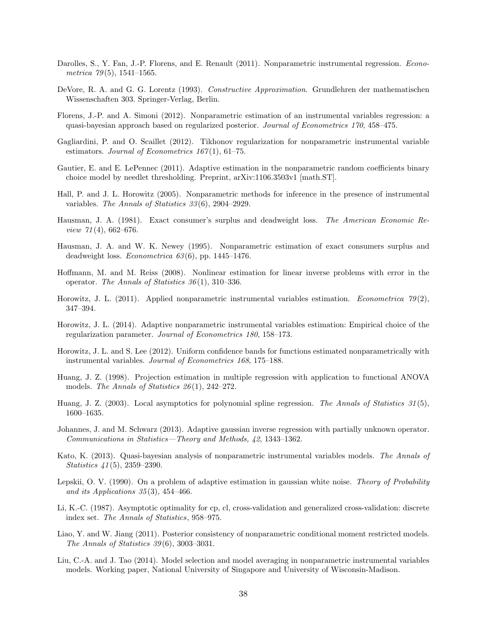- Darolles, S., Y. Fan, J.-P. Florens, and E. Renault (2011). Nonparametric instrumental regression. Econometrica  $79(5)$ , 1541–1565.
- DeVore, R. A. and G. G. Lorentz (1993). Constructive Approximation. Grundlehren der mathematischen Wissenschaften 303. Springer-Verlag, Berlin.
- Florens, J.-P. and A. Simoni (2012). Nonparametric estimation of an instrumental variables regression: a quasi-bayesian approach based on regularized posterior. Journal of Econometrics 170, 458–475.
- Gagliardini, P. and O. Scaillet (2012). Tikhonov regularization for nonparametric instrumental variable estimators. Journal of Econometrics  $167(1)$ , 61–75.
- Gautier, E. and E. LePennec (2011). Adaptive estimation in the nonparametric random coefficients binary choice model by needlet thresholding. Preprint, arXiv:1106.3503v1 [math.ST].
- Hall, P. and J. L. Horowitz (2005). Nonparametric methods for inference in the presence of instrumental variables. The Annals of Statistics 33 (6), 2904–2929.
- Hausman, J. A. (1981). Exact consumer's surplus and deadweight loss. The American Economic Re*view*  $71(4)$ , 662–676.
- Hausman, J. A. and W. K. Newey (1995). Nonparametric estimation of exact consumers surplus and deadweight loss. Econometrica  $63(6)$ , pp. 1445–1476.
- Hoffmann, M. and M. Reiss (2008). Nonlinear estimation for linear inverse problems with error in the operator. The Annals of Statistics  $36(1)$ , 310–336.
- Horowitz, J. L. (2011). Applied nonparametric instrumental variables estimation. Econometrica  $79(2)$ , 347–394.
- Horowitz, J. L. (2014). Adaptive nonparametric instrumental variables estimation: Empirical choice of the regularization parameter. Journal of Econometrics 180, 158–173.
- Horowitz, J. L. and S. Lee (2012). Uniform confidence bands for functions estimated nonparametrically with instrumental variables. Journal of Econometrics 168, 175–188.
- Huang, J. Z. (1998). Projection estimation in multiple regression with application to functional ANOVA models. The Annals of Statistics  $26(1)$ , 242–272.
- Huang, J. Z. (2003). Local asymptotics for polynomial spline regression. The Annals of Statistics 31(5), 1600–1635.
- Johannes, J. and M. Schwarz (2013). Adaptive gaussian inverse regression with partially unknown operator. Communications in Statistics—Theory and Methods, 42, 1343–1362.
- Kato, K. (2013). Quasi-bayesian analysis of nonparametric instrumental variables models. The Annals of Statistics 41 (5), 2359–2390.
- Lepskii, O. V. (1990). On a problem of adaptive estimation in gaussian white noise. Theory of Probability and its Applications  $35(3)$ ,  $454-466$ .
- Li, K.-C. (1987). Asymptotic optimality for cp, cl, cross-validation and generalized cross-validation: discrete index set. The Annals of Statistics, 958–975.
- Liao, Y. and W. Jiang (2011). Posterior consistency of nonparametric conditional moment restricted models. The Annals of Statistics 39 (6), 3003–3031.
- Liu, C.-A. and J. Tao (2014). Model selection and model averaging in nonparametric instrumental variables models. Working paper, National University of Singapore and University of Wisconsin-Madison.